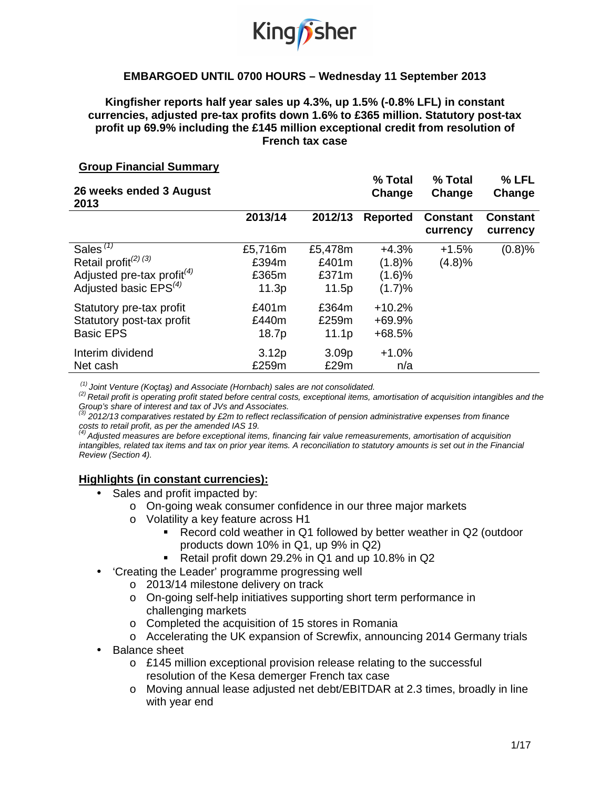

# **EMBARGOED UNTIL 0700 HOURS – Wednesday 11 September 2013**

**Kingfisher reports half year sales up 4.3%, up 1.5% (-0.8% LFL) in constant currencies, adjusted pre-tax profits down 1.6% to £365 million. Statutory post-tax profit up 69.9% including the £145 million exceptional credit from resolution of French tax case** 

### **Group Financial Summary**

| 26 weeks ended 3 August<br>2013                                                                                                     |                                    |                                    | % Total<br>Change                        | % Total<br>Change           | % LFL<br>Change             |
|-------------------------------------------------------------------------------------------------------------------------------------|------------------------------------|------------------------------------|------------------------------------------|-----------------------------|-----------------------------|
|                                                                                                                                     | 2013/14                            | 2012/13                            | <b>Reported</b>                          | <b>Constant</b><br>currency | <b>Constant</b><br>currency |
| Sales <sup><math>77</math></sup><br>Retail profit <sup>(2)</sup> (3)<br>Adjusted pre-tax profit $(4)$<br>Adjusted basic $EPS^{(4)}$ | £5,716m<br>£394m<br>£365m<br>11.3p | £5,478m<br>£401m<br>£371m<br>11.5p | $+4.3%$<br>(1.8)%<br>$(1.6)\%$<br>(1.7)% | $+1.5%$<br>(4.8)%           | (0.8)%                      |
| Statutory pre-tax profit<br>Statutory post-tax profit<br><b>Basic EPS</b>                                                           | £401m<br>£440m<br>18.7p            | £364m<br>£259m<br>11.1p            | $+10.2%$<br>$+69.9%$<br>+68.5%           |                             |                             |
| Interim dividend<br>Net cash                                                                                                        | 3.12 <sub>p</sub><br>£259m         | 3.09 <sub>p</sub><br>£29m          | $+1.0%$<br>n/a                           |                             |                             |

(1) Joint Venture (Koçta*ş*) and Associate (Hornbach) sales are not consolidated.

 $^{(2)}$  Retail profit is operating profit stated before central costs, exceptional items, amortisation of acquisition intangibles and the Group's share of interest and tax of JVs and Associates.<br>(3) 2012/12 compositions

(3) 2012/13 comparatives restated by £2m to reflect reclassification of pension administrative expenses from finance

costs to retail profit, as per the amended IAS 19.<br><sup>(4)</sup> Adjusted measures are before exceptional items, financing fair value remeasurements, amortisation of acquisition intangibles, related tax items and tax on prior year items. A reconciliation to statutory amounts is set out in the Financial Review (Section 4).

### **Highlights (in constant currencies):**

- Sales and profit impacted by:
	- o On-going weak consumer confidence in our three major markets
	- o Volatility a key feature across H1
		- Record cold weather in Q1 followed by better weather in Q2 (outdoor products down 10% in Q1, up 9% in Q2)
		- Retail profit down 29.2% in Q1 and up 10.8% in Q2
- 'Creating the Leader' programme progressing well
	- o 2013/14 milestone delivery on track
	- o On-going self-help initiatives supporting short term performance in challenging markets
	- o Completed the acquisition of 15 stores in Romania
	- o Accelerating the UK expansion of Screwfix, announcing 2014 Germany trials
- Balance sheet
	- o £145 million exceptional provision release relating to the successful resolution of the Kesa demerger French tax case
	- o Moving annual lease adjusted net debt/EBITDAR at 2.3 times, broadly in line with year end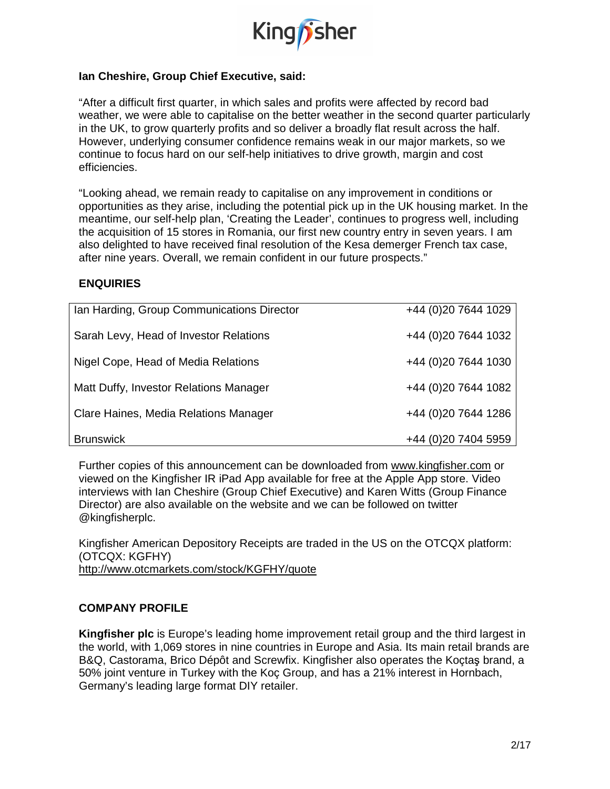

# **Ian Cheshire, Group Chief Executive, said:**

"After a difficult first quarter, in which sales and profits were affected by record bad weather, we were able to capitalise on the better weather in the second quarter particularly in the UK, to grow quarterly profits and so deliver a broadly flat result across the half. However, underlying consumer confidence remains weak in our major markets, so we continue to focus hard on our self-help initiatives to drive growth, margin and cost efficiencies.

"Looking ahead, we remain ready to capitalise on any improvement in conditions or opportunities as they arise, including the potential pick up in the UK housing market. In the meantime, our self-help plan, 'Creating the Leader', continues to progress well, including the acquisition of 15 stores in Romania, our first new country entry in seven years. I am also delighted to have received final resolution of the Kesa demerger French tax case, after nine years. Overall, we remain confident in our future prospects."

### **ENQUIRIES**

| Ian Harding, Group Communications Director | +44 (0)20 7644 1029  |
|--------------------------------------------|----------------------|
| Sarah Levy, Head of Investor Relations     | +44 (0)20 7644 1032  |
| Nigel Cope, Head of Media Relations        | +44 (0) 20 7644 1030 |
| Matt Duffy, Investor Relations Manager     | +44 (0) 20 7644 1082 |
| Clare Haines, Media Relations Manager      | +44 (0) 20 7644 1286 |
| <b>Brunswick</b>                           | +44 (0)20 7404 5959  |

Further copies of this announcement can be downloaded from www.kingfisher.com or viewed on the Kingfisher IR iPad App available for free at the Apple App store. Video interviews with Ian Cheshire (Group Chief Executive) and Karen Witts (Group Finance Director) are also available on the website and we can be followed on twitter @kingfisherplc.

Kingfisher American Depository Receipts are traded in the US on the OTCQX platform: (OTCQX: KGFHY)

http://www.otcmarkets.com/stock/KGFHY/quote

### **COMPANY PROFILE**

**Kingfisher plc** is Europe's leading home improvement retail group and the third largest in the world, with 1,069 stores in nine countries in Europe and Asia. Its main retail brands are B&Q, Castorama, Brico Dépôt and Screwfix. Kingfisher also operates the Koçtaş brand, a 50% joint venture in Turkey with the Koç Group, and has a 21% interest in Hornbach, Germany's leading large format DIY retailer.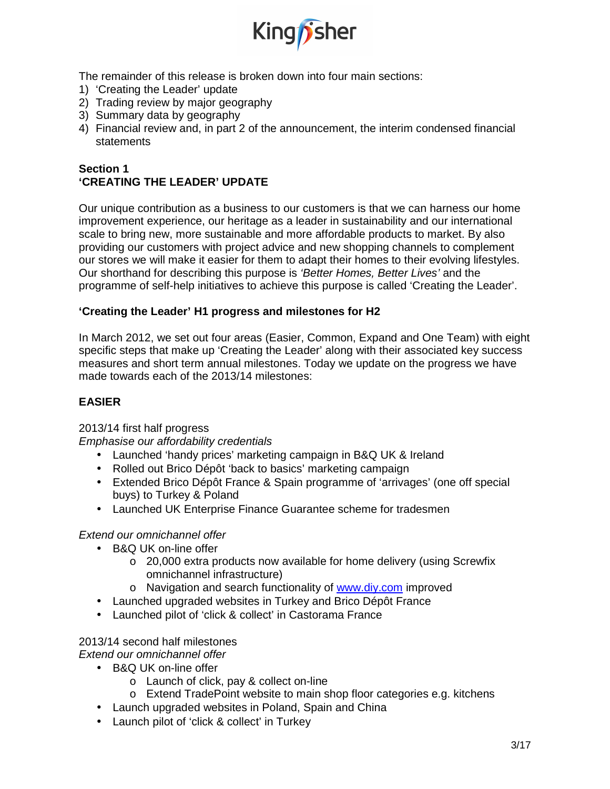

The remainder of this release is broken down into four main sections:

- 1) 'Creating the Leader' update
- 2) Trading review by major geography
- 3) Summary data by geography
- 4) Financial review and, in part 2 of the announcement, the interim condensed financial **statements**

# **Section 1 'CREATING THE LEADER' UPDATE**

Our unique contribution as a business to our customers is that we can harness our home improvement experience, our heritage as a leader in sustainability and our international scale to bring new, more sustainable and more affordable products to market. By also providing our customers with project advice and new shopping channels to complement our stores we will make it easier for them to adapt their homes to their evolving lifestyles. Our shorthand for describing this purpose is 'Better Homes, Better Lives' and the programme of self-help initiatives to achieve this purpose is called 'Creating the Leader'.

# **'Creating the Leader' H1 progress and milestones for H2**

In March 2012, we set out four areas (Easier, Common, Expand and One Team) with eight specific steps that make up 'Creating the Leader' along with their associated key success measures and short term annual milestones. Today we update on the progress we have made towards each of the 2013/14 milestones:

# **EASIER**

### 2013/14 first half progress

Emphasise our affordability credentials

- Launched 'handy prices' marketing campaign in B&Q UK & Ireland
- Rolled out Brico Dépôt 'back to basics' marketing campaign
- Extended Brico Dépôt France & Spain programme of 'arrivages' (one off special buys) to Turkey & Poland
- Launched UK Enterprise Finance Guarantee scheme for tradesmen

### Extend our omnichannel offer

- B&Q UK on-line offer
	- o 20,000 extra products now available for home delivery (using Screwfix omnichannel infrastructure)
	- o Navigation and search functionality of www.diy.com improved
- Launched upgraded websites in Turkey and Brico Dépôt France
- Launched pilot of 'click & collect' in Castorama France

#### 2013/14 second half milestones Extend our omnichannel offer

- B&Q UK on-line offer
	- o Launch of click, pay & collect on-line
	- o Extend TradePoint website to main shop floor categories e.g. kitchens
- Launch upgraded websites in Poland, Spain and China
- Launch pilot of 'click & collect' in Turkey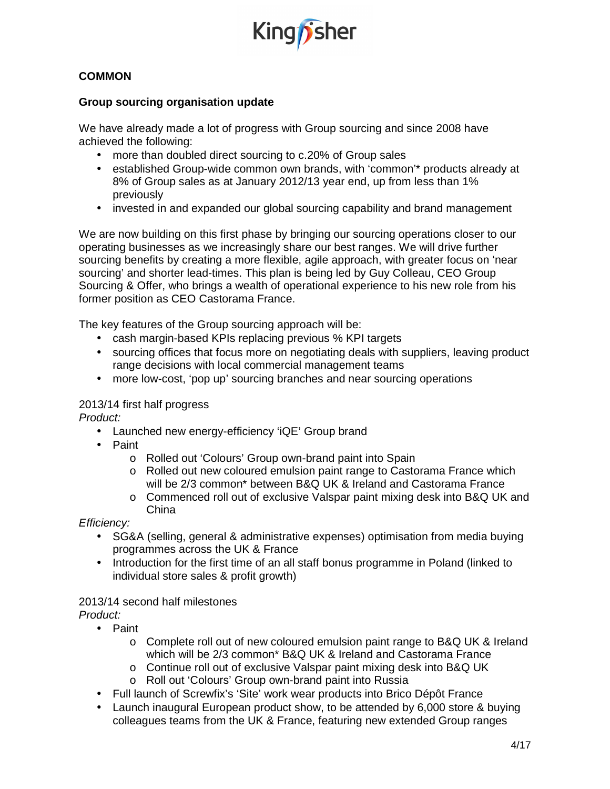

# **COMMON**

# **Group sourcing organisation update**

We have already made a lot of progress with Group sourcing and since 2008 have achieved the following:

- more than doubled direct sourcing to c.20% of Group sales
- established Group-wide common own brands, with 'common'\* products already at 8% of Group sales as at January 2012/13 year end, up from less than 1% previously
- invested in and expanded our global sourcing capability and brand management

We are now building on this first phase by bringing our sourcing operations closer to our operating businesses as we increasingly share our best ranges. We will drive further sourcing benefits by creating a more flexible, agile approach, with greater focus on 'near sourcing' and shorter lead-times. This plan is being led by Guy Colleau, CEO Group Sourcing & Offer, who brings a wealth of operational experience to his new role from his former position as CEO Castorama France.

The key features of the Group sourcing approach will be:

- cash margin-based KPIs replacing previous % KPI targets
- sourcing offices that focus more on negotiating deals with suppliers, leaving product range decisions with local commercial management teams
- more low-cost, 'pop up' sourcing branches and near sourcing operations

### 2013/14 first half progress

Product:

- Launched new energy-efficiency 'iQE' Group brand
- Paint
	- o Rolled out 'Colours' Group own-brand paint into Spain
	- o Rolled out new coloured emulsion paint range to Castorama France which will be 2/3 common\* between B&Q UK & Ireland and Castorama France
	- o Commenced roll out of exclusive Valspar paint mixing desk into B&Q UK and China

Efficiency:

- SG&A (selling, general & administrative expenses) optimisation from media buying programmes across the UK & France
- Introduction for the first time of an all staff bonus programme in Poland (linked to individual store sales & profit growth)

2013/14 second half milestones Product:

- Paint
	- $\circ$  Complete roll out of new coloured emulsion paint range to B&Q UK & Ireland which will be 2/3 common\* B&Q UK & Ireland and Castorama France
	- o Continue roll out of exclusive Valspar paint mixing desk into B&Q UK
	- o Roll out 'Colours' Group own-brand paint into Russia
- Full launch of Screwfix's 'Site' work wear products into Brico Dépôt France
- Launch inaugural European product show, to be attended by 6,000 store & buying colleagues teams from the UK & France, featuring new extended Group ranges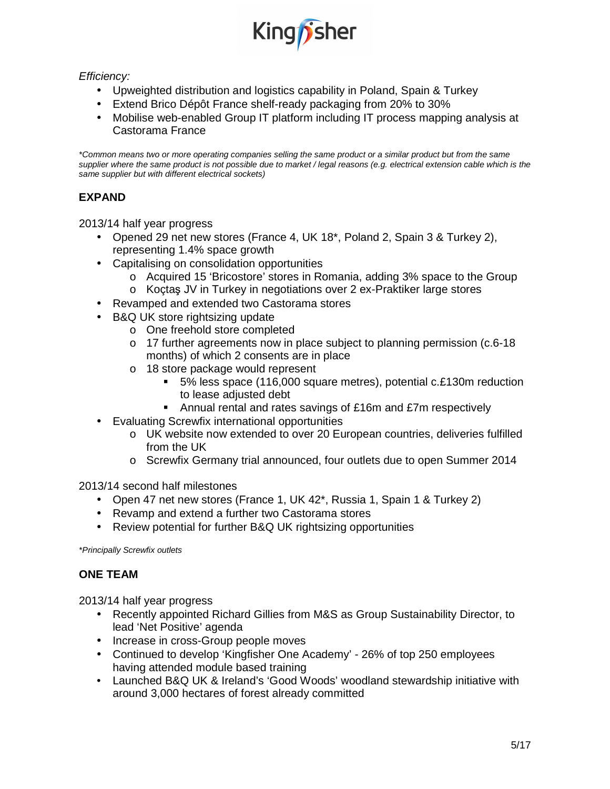

Efficiency:

- Upweighted distribution and logistics capability in Poland, Spain & Turkey
- Extend Brico Dépôt France shelf-ready packaging from 20% to 30%
- Mobilise web-enabled Group IT platform including IT process mapping analysis at Castorama France

\*Common means two or more operating companies selling the same product or a similar product but from the same supplier where the same product is not possible due to market / legal reasons (e.g. electrical extension cable which is the same supplier but with different electrical sockets)

# **EXPAND**

2013/14 half year progress

- Opened 29 net new stores (France 4, UK 18\*, Poland 2, Spain 3 & Turkey 2), representing 1.4% space growth
- Capitalising on consolidation opportunities
	- o Acquired 15 'Bricostore' stores in Romania, adding 3% space to the Group
	- o Koçtaş JV in Turkey in negotiations over 2 ex-Praktiker large stores
- Revamped and extended two Castorama stores
- B&Q UK store rightsizing update
	- o One freehold store completed
	- o 17 further agreements now in place subject to planning permission (c.6-18 months) of which 2 consents are in place
	- o 18 store package would represent
		- 5% less space (116,000 square metres), potential c.£130m reduction to lease adjusted debt
		- Annual rental and rates savings of £16m and £7m respectively
- Evaluating Screwfix international opportunities
	- o UK website now extended to over 20 European countries, deliveries fulfilled from the UK
	- o Screwfix Germany trial announced, four outlets due to open Summer 2014

2013/14 second half milestones

- Open 47 net new stores (France 1, UK 42<sup>\*</sup>, Russia 1, Spain 1 & Turkey 2)
- Revamp and extend a further two Castorama stores
- Review potential for further B&Q UK rightsizing opportunities

\*Principally Screwfix outlets

# **ONE TEAM**

2013/14 half year progress

- Recently appointed Richard Gillies from M&S as Group Sustainability Director, to lead 'Net Positive' agenda
- Increase in cross-Group people moves
- Continued to develop 'Kingfisher One Academy' 26% of top 250 employees having attended module based training
- Launched B&Q UK & Ireland's 'Good Woods' woodland stewardship initiative with around 3,000 hectares of forest already committed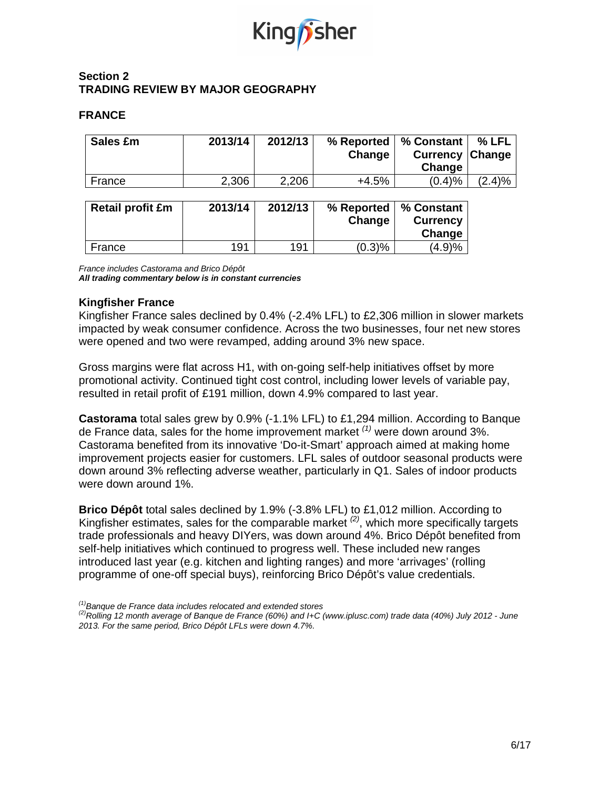

# **Section 2 TRADING REVIEW BY MAJOR GEOGRAPHY**

# **FRANCE**

| Sales £m                | 2013/14 | 2012/13 | % Reported<br>Change | % Constant<br><b>Currency</b><br>Change | % LFL<br>Change |
|-------------------------|---------|---------|----------------------|-----------------------------------------|-----------------|
| France                  | 2,306   | 2,206   | $+4.5%$              | (0.4)%                                  | (2.4)%          |
| <b>Retail profit £m</b> | 2013/14 | 2012/13 | % Reported<br>Change | % Constant<br><b>Currency</b><br>Change |                 |

France  $191$  191 (0.3)% (4.9)%

France includes Castorama and Brico Dépôt **All trading commentary below is in constant currencies** 

# **Kingfisher France**

Kingfisher France sales declined by 0.4% (-2.4% LFL) to £2,306 million in slower markets impacted by weak consumer confidence. Across the two businesses, four net new stores were opened and two were revamped, adding around 3% new space.

Gross margins were flat across H1, with on-going self-help initiatives offset by more promotional activity. Continued tight cost control, including lower levels of variable pay, resulted in retail profit of £191 million, down 4.9% compared to last year.

**Castorama** total sales grew by 0.9% (-1.1% LFL) to £1,294 million. According to Banque de France data, sales for the home improvement market  $(1)$  were down around 3%. Castorama benefited from its innovative 'Do-it-Smart' approach aimed at making home improvement projects easier for customers. LFL sales of outdoor seasonal products were down around 3% reflecting adverse weather, particularly in Q1. Sales of indoor products were down around 1%.

**Brico Dépôt** total sales declined by 1.9% (-3.8% LFL) to £1,012 million. According to Kingfisher estimates, sales for the comparable market  $(2)$ , which more specifically targets trade professionals and heavy DIYers, was down around 4%. Brico Dépôt benefited from self-help initiatives which continued to progress well. These included new ranges introduced last year (e.g. kitchen and lighting ranges) and more 'arrivages' (rolling programme of one-off special buys), reinforcing Brico Dépôt's value credentials.

 $<sup>(1)</sup>$ Banque de France data includes relocated and extended stores</sup>

<sup>&</sup>lt;sup>(2)</sup>Rolling 12 month average of Banque de France (60%) and I+C (www.iplusc.com) trade data (40%) July 2012 - June 2013. For the same period, Brico Dépôt LFLs were down 4.7%.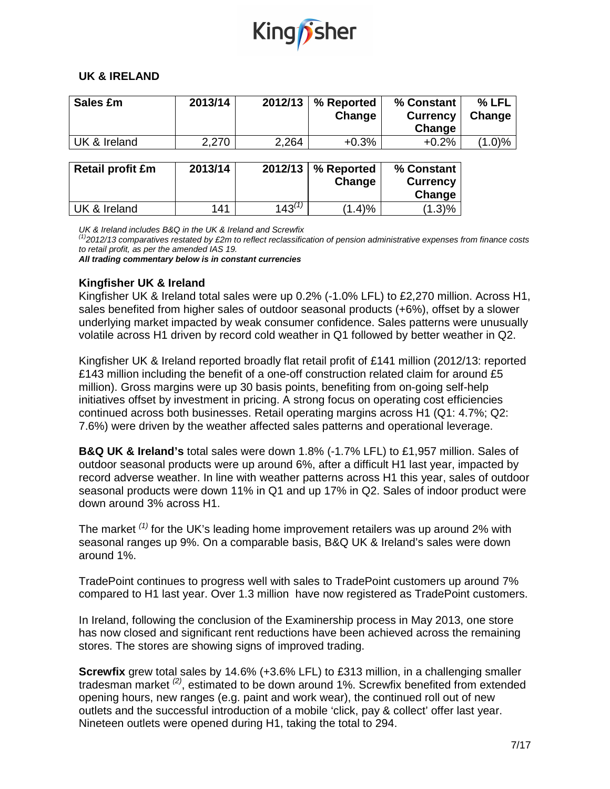

### **UK & IRELAND**

| Sales £m                | 2013/14 | 2012/13     | % Reported | % Constant      | $%$ LFL   |
|-------------------------|---------|-------------|------------|-----------------|-----------|
|                         |         |             | Change     | <b>Currency</b> | Change    |
|                         |         |             |            | Change          |           |
| UK & Ireland            | 2,270   | 2,264       | $+0.3%$    | $+0.2%$         | $(1.0)\%$ |
|                         |         |             |            |                 |           |
| <b>Retail profit £m</b> | 2013/14 | 2012/13     | % Reported | % Constant      |           |
|                         |         |             | Change     | <b>Currency</b> |           |
|                         |         |             |            | Change          |           |
| UK & Ireland            | 141     | $143^{(1)}$ | (1.4)%     | $(1.3)\%$       |           |

UK & Ireland includes B&Q in the UK & Ireland and Screwfix<br><sup>(1)</sup>2012/13 comparatives restated by £2m to reflect reclassification of pension administrative expenses from finance costs to retail profit, as per the amended IAS 19.

**All trading commentary below is in constant currencies** 

### **Kingfisher UK & Ireland**

Kingfisher UK & Ireland total sales were up 0.2% (-1.0% LFL) to £2,270 million. Across H1, sales benefited from higher sales of outdoor seasonal products (+6%), offset by a slower underlying market impacted by weak consumer confidence. Sales patterns were unusually volatile across H1 driven by record cold weather in Q1 followed by better weather in Q2.

Kingfisher UK & Ireland reported broadly flat retail profit of £141 million (2012/13: reported £143 million including the benefit of a one-off construction related claim for around £5 million). Gross margins were up 30 basis points, benefiting from on-going self-help initiatives offset by investment in pricing. A strong focus on operating cost efficiencies continued across both businesses. Retail operating margins across H1 (Q1: 4.7%; Q2: 7.6%) were driven by the weather affected sales patterns and operational leverage.

**B&Q UK & Ireland's** total sales were down 1.8% (-1.7% LFL) to £1,957 million. Sales of outdoor seasonal products were up around 6%, after a difficult H1 last year, impacted by record adverse weather. In line with weather patterns across H1 this year, sales of outdoor seasonal products were down 11% in Q1 and up 17% in Q2. Sales of indoor product were down around 3% across H1.

The market  $(1)$  for the UK's leading home improvement retailers was up around 2% with seasonal ranges up 9%. On a comparable basis, B&Q UK & Ireland's sales were down around 1%.

TradePoint continues to progress well with sales to TradePoint customers up around 7% compared to H1 last year. Over 1.3 million have now registered as TradePoint customers.

In Ireland, following the conclusion of the Examinership process in May 2013, one store has now closed and significant rent reductions have been achieved across the remaining stores. The stores are showing signs of improved trading.

**Screwfix** grew total sales by 14.6% (+3.6% LFL) to £313 million, in a challenging smaller tradesman market  $(2)$ , estimated to be down around 1%. Screwfix benefited from extended opening hours, new ranges (e.g. paint and work wear), the continued roll out of new outlets and the successful introduction of a mobile 'click, pay & collect' offer last year. Nineteen outlets were opened during H1, taking the total to 294.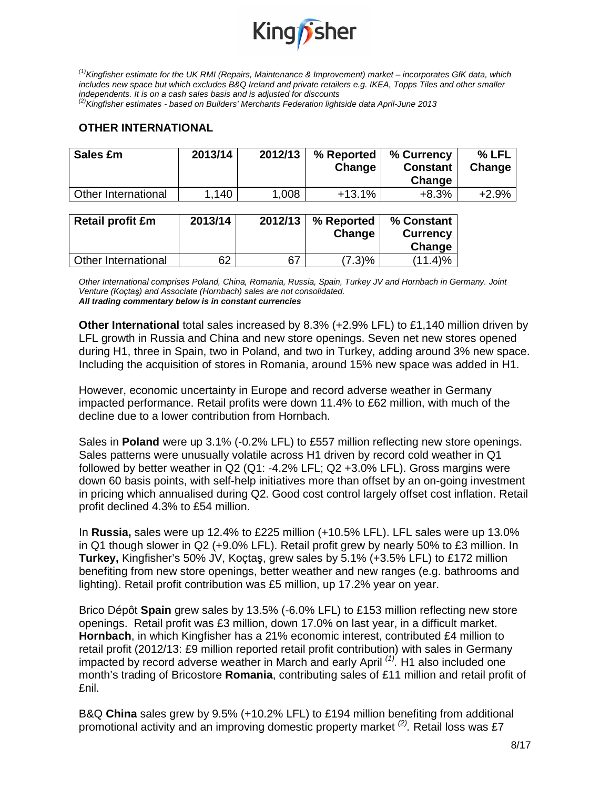

 $^{(1)}$ Kingfisher estimate for the UK RMI (Repairs, Maintenance & Improvement) market – incorporates GfK data, which includes new space but which excludes B&Q Ireland and private retailers e.g. IKEA, Topps Tiles and other smaller independents. It is on a cash sales basis and is adjusted for discounts

 $^{(2)}$ Kingfisher estimates - based on Builders' Merchants Federation lightside data April-June 2013

Other International 62 67 (7.3)% (11.4)%

# **OTHER INTERNATIONAL**

| Sales £m                | 2013/14 | 2012/13 | % Reported<br>Change | % Currency<br><b>Constant</b><br>Change | % LFL<br>Change |
|-------------------------|---------|---------|----------------------|-----------------------------------------|-----------------|
| Other International     | 1,140   | 1,008   | $+13.1%$             | $+8.3%$                                 | $+2.9%$         |
| <b>Retail profit £m</b> | 2013/14 | 2012/13 | % Reported<br>Change | % Constant<br><b>Currency</b>           |                 |

Other International comprises Poland, China, Romania, Russia, Spain, Turkey JV and Hornbach in Germany. Joint Venture (Koçta*ş*) and Associate (Hornbach) sales are not consolidated. **All trading commentary below is in constant currencies** 

**Other International** total sales increased by 8.3% (+2.9% LFL) to £1,140 million driven by LFL growth in Russia and China and new store openings. Seven net new stores opened during H1, three in Spain, two in Poland, and two in Turkey, adding around 3% new space. Including the acquisition of stores in Romania, around 15% new space was added in H1.

**Change**

However, economic uncertainty in Europe and record adverse weather in Germany impacted performance. Retail profits were down 11.4% to £62 million, with much of the decline due to a lower contribution from Hornbach.

Sales in **Poland** were up 3.1% (-0.2% LFL) to £557 million reflecting new store openings. Sales patterns were unusually volatile across H1 driven by record cold weather in Q1 followed by better weather in Q2 (Q1: -4.2% LFL; Q2 +3.0% LFL). Gross margins were down 60 basis points, with self-help initiatives more than offset by an on-going investment in pricing which annualised during Q2. Good cost control largely offset cost inflation. Retail profit declined 4.3% to £54 million.

In **Russia,** sales were up 12.4% to £225 million (+10.5% LFL). LFL sales were up 13.0% in Q1 though slower in Q2 (+9.0% LFL). Retail profit grew by nearly 50% to £3 million. In **Turkey,** Kingfisher's 50% JV, Koçtaş, grew sales by 5.1% (+3.5% LFL) to £172 million benefiting from new store openings, better weather and new ranges (e.g. bathrooms and lighting). Retail profit contribution was £5 million, up 17.2% year on year.

Brico Dépôt **Spain** grew sales by 13.5% (-6.0% LFL) to £153 million reflecting new store openings. Retail profit was £3 million, down 17.0% on last year, in a difficult market. **Hornbach**, in which Kingfisher has a 21% economic interest, contributed £4 million to retail profit (2012/13: £9 million reported retail profit contribution) with sales in Germany impacted by record adverse weather in March and early April  $(1)$ . H1 also included one month's trading of Bricostore **Romania**, contributing sales of £11 million and retail profit of £nil.

B&Q **China** sales grew by 9.5% (+10.2% LFL) to £194 million benefiting from additional promotional activity and an improving domestic property market  $^{(2)}$ . Retail loss was £7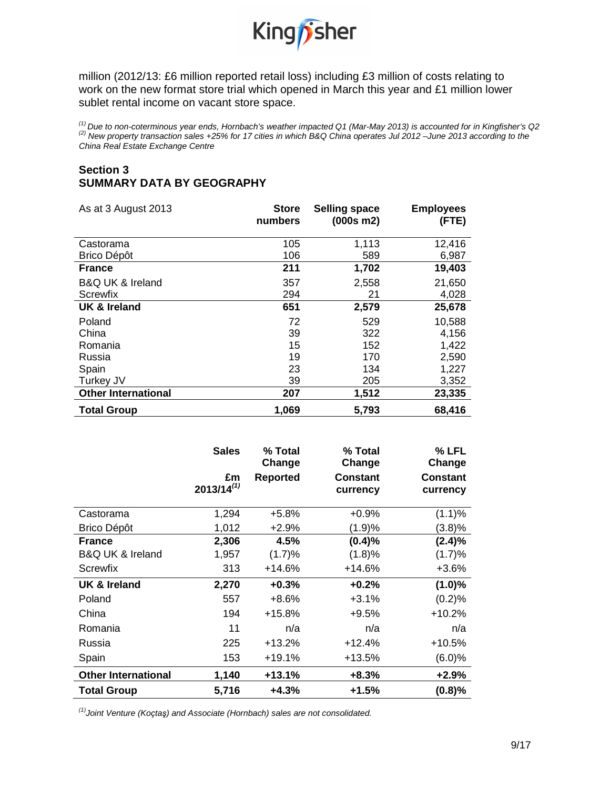

million (2012/13: £6 million reported retail loss) including £3 million of costs relating to work on the new format store trial which opened in March this year and £1 million lower sublet rental income on vacant store space.

 $^{(1)}$  Due to non-coterminous year ends, Hornbach's weather impacted Q1 (Mar-May 2013) is accounted for in Kingfisher's Q2 (2) New property transaction sales +25% for 17 cities in which B&Q China operates Jul 2012 –June 2013 according to the China Real Estate Exchange Centre

# **Section 3 SUMMARY DATA BY GEOGRAPHY**

| As at 3 August 2013             | <b>Store</b><br>numbers | <b>Selling space</b><br>(000s m2) | <b>Employees</b><br>(FTE) |
|---------------------------------|-------------------------|-----------------------------------|---------------------------|
| Castorama                       | 105                     | 1,113                             | 12,416                    |
| Brico Dépôt                     | 106                     | 589                               | 6,987                     |
| <b>France</b>                   | 211                     | 1,702                             | 19,403                    |
| <b>B&amp;Q UK &amp; Ireland</b> | 357                     | 2,558                             | 21,650                    |
| Screwfix                        | 294                     | 21                                | 4,028                     |
| <b>UK &amp; Ireland</b>         | 651                     | 2,579                             | 25,678                    |
| Poland                          | 72                      | 529                               | 10,588                    |
| China                           | 39                      | 322                               | 4,156                     |
| Romania                         | 15                      | 152                               | 1,422                     |
| Russia                          | 19                      | 170                               | 2,590                     |
| Spain                           | 23                      | 134                               | 1,227                     |
| Turkey JV                       | 39                      | 205                               | 3,352                     |
| <b>Other International</b>      | 207                     | 1,512                             | 23,335                    |
| <b>Total Group</b>              | 1,069                   | 5,793                             | 68,416                    |

|                                 | <b>Sales</b>          | % Total<br>Change | % Total<br>Change           | % LFL<br>Change             |
|---------------------------------|-----------------------|-------------------|-----------------------------|-----------------------------|
|                                 | £m<br>$2013/14^{(1)}$ | <b>Reported</b>   | <b>Constant</b><br>currency | <b>Constant</b><br>currency |
| Castorama                       | 1,294                 | $+5.8%$           | $+0.9%$                     | (1.1)%                      |
| Brico Dépôt                     | 1,012                 | $+2.9%$           | (1.9)%                      | $(3.8)\%$                   |
| <b>France</b>                   | 2,306                 | 4.5%              | (0.4)%                      | (2.4)%                      |
| <b>B&amp;Q UK &amp; Ireland</b> | 1,957                 | (1.7)%            | (1.8)%                      | (1.7)%                      |
| Screwfix                        | 313                   | $+14.6%$          | $+14.6%$                    | $+3.6%$                     |
| UK & Ireland                    | 2,270                 | $+0.3%$           | $+0.2%$                     | (1.0)%                      |
| Poland                          | 557                   | $+8.6%$           | $+3.1%$                     | (0.2)%                      |
| China                           | 194                   | $+15.8%$          | $+9.5%$                     | $+10.2%$                    |
| Romania                         | 11                    | n/a               | n/a                         | n/a                         |
| Russia                          | 225                   | $+13.2%$          | $+12.4%$                    | $+10.5%$                    |
| Spain                           | 153                   | $+19.1%$          | +13.5%                      | (6.0)%                      |
| <b>Other International</b>      | 1,140                 | $+13.1%$          | $+8.3%$                     | $+2.9%$                     |
| <b>Total Group</b>              | 5,716                 | $+4.3%$           | $+1.5%$                     | (0.8)%                      |

(1)Joint Venture (Koçta*ş*) and Associate (Hornbach) sales are not consolidated.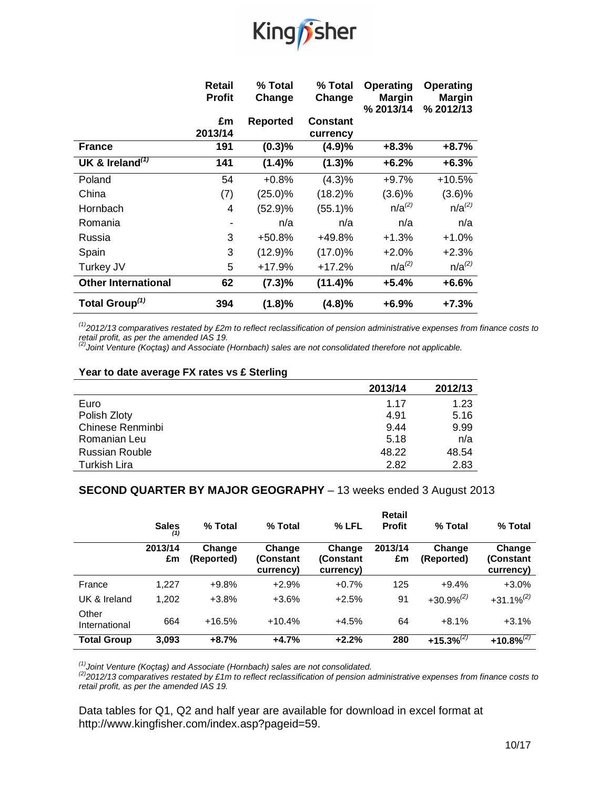

|                             | <b>Retail</b><br><b>Profit</b> | % Total<br>Change | % Total<br>Change    | <b>Operating</b><br>Margin | Operating<br><b>Margin</b> |
|-----------------------------|--------------------------------|-------------------|----------------------|----------------------------|----------------------------|
|                             | £m<br>2013/14                  | <b>Reported</b>   | Constant<br>currency | %2013/14                   | % 2012/13                  |
| <b>France</b>               | 191                            | (0.3)%            | (4.9)%               | $+8.3%$                    | $+8.7%$                    |
| UK & Ireland <sup>(1)</sup> | 141                            | (1.4)%            | (1.3)%               | $+6.2%$                    | $+6.3%$                    |
| Poland                      | 54                             | $+0.8%$           | (4.3)%               | $+9.7%$                    | +10.5%                     |
| China                       | (7)                            | $(25.0)\%$        | $(18.2)\%$           | (3.6)%                     | (3.6)%                     |
| Hornbach                    | 4                              | (52.9)%           | (55.1)%              | $n/a^{(2)}$                | $n/a^{(2)}$                |
| Romania                     |                                | n/a               | n/a                  | n/a                        | n/a                        |
| Russia                      | 3                              | $+50.8%$          | +49.8%               | $+1.3%$                    | $+1.0%$                    |
| Spain                       | 3                              | $(12.9)\%$        | $(17.0)\%$           | $+2.0\%$                   | $+2.3%$                    |
| Turkey JV                   | 5                              | $+17.9%$          | $+17.2%$             | $n/a^{(2)}$                | $n/a^{(2)}$                |
| <b>Other International</b>  | 62                             | (7.3)%            | $(11.4)\%$           | $+5.4%$                    | $+6.6%$                    |
| Total Group <sup>(1)</sup>  | 394                            | (1.8)%            | (4.8)%               | $+6.9%$                    | $+7.3%$                    |

 $^{(1)}$ 2012/13 comparatives restated by £2m to reflect reclassification of pension administrative expenses from finance costs to

retail profit, as per the amended IAS 19. (2)Joint Venture (Koçta*ş*) and Associate (Hornbach) sales are not consolidated therefore not applicable.

#### **Year to date average FX rates vs £ Sterling**

|                       | 2013/14 | 2012/13 |
|-----------------------|---------|---------|
| Euro                  | 1.17    | 1.23    |
| Polish Zloty          | 4.91    | 5.16    |
| Chinese Renminbi      | 9.44    | 9.99    |
| Romanian Leu          | 5.18    | n/a     |
| <b>Russian Rouble</b> | 48.22   | 48.54   |
| <b>Turkish Lira</b>   | 2.82    | 2.83    |

### **SECOND QUARTER BY MAJOR GEOGRAPHY** – 13 weeks ended 3 August 2013

|                        | <b>Sales</b><br>(1) | % Total              | % Total                          | % LFL                            | <b>Retail</b><br><b>Profit</b> | % Total              | % Total                          |
|------------------------|---------------------|----------------------|----------------------------------|----------------------------------|--------------------------------|----------------------|----------------------------------|
|                        | 2013/14<br>£m       | Change<br>(Reported) | Change<br>(Constant<br>currency) | Change<br>(Constant<br>currency) | 2013/14<br>£m                  | Change<br>(Reported) | Change<br>(Constant<br>currency) |
| France                 | 1,227               | $+9.8%$              | $+2.9%$                          | $+0.7%$                          | 125                            | $+9.4%$              | $+3.0%$                          |
| UK & Ireland           | 1,202               | $+3.8%$              | $+3.6%$                          | $+2.5%$                          | 91                             | $+30.9%^{(2)}$       | $+31.1\%^{(2)}$                  |
| Other<br>International | 664                 | $+16.5%$             | $+10.4%$                         | $+4.5%$                          | 64                             | $+8.1%$              | $+3.1%$                          |
| <b>Total Group</b>     | 3,093               | $+8.7%$              | $+4.7%$                          | $+2.2%$                          | 280                            | $+15.3%^{(2)}$       | +10.8% <sup>(2)</sup>            |

(1)Joint Venture (Koçta*ş*) and Associate (Hornbach) sales are not consolidated.

<sup>(2)</sup>2012/13 comparatives restated by £1m to reflect reclassification of pension administrative expenses from finance costs to retail profit, as per the amended IAS 19.

Data tables for Q1, Q2 and half year are available for download in excel format at http://www.kingfisher.com/index.asp?pageid=59.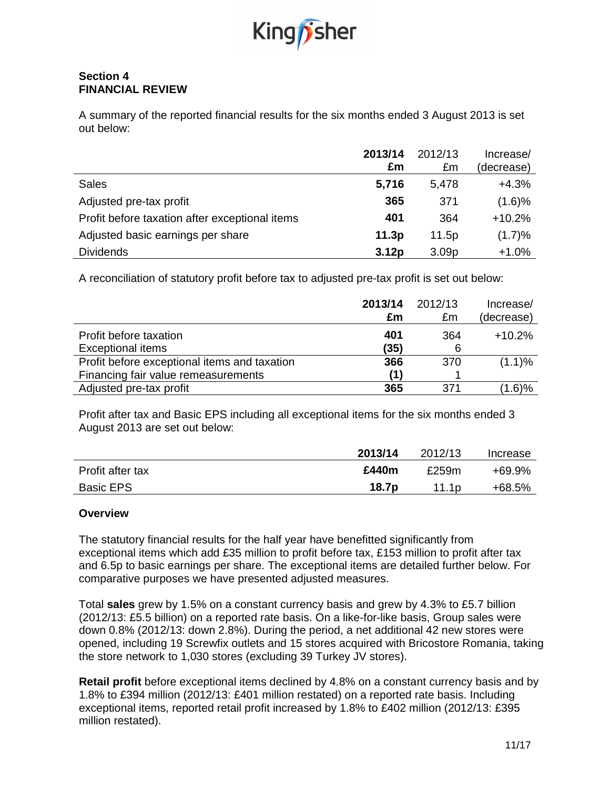

## **Section 4 FINANCIAL REVIEW**

A summary of the reported financial results for the six months ended 3 August 2013 is set out below:

|                                                | 2013/14<br>£m     | 2012/13<br>£m     | Increase/<br>(decrease) |
|------------------------------------------------|-------------------|-------------------|-------------------------|
| <b>Sales</b>                                   | 5,716             | 5,478             | $+4.3%$                 |
| Adjusted pre-tax profit                        | 365               | 371               | (1.6)%                  |
| Profit before taxation after exceptional items | 401               | 364               | $+10.2%$                |
| Adjusted basic earnings per share              | 11.3p             | 11.5p             | (1.7)%                  |
| <b>Dividends</b>                               | 3.12 <sub>p</sub> | 3.09 <sub>p</sub> | $+1.0%$                 |

A reconciliation of statutory profit before tax to adjusted pre-tax profit is set out below:

|                                              | 2013/14<br>£m | 2012/13<br>£m | Increase/<br>(decrease) |
|----------------------------------------------|---------------|---------------|-------------------------|
| Profit before taxation                       | 401           | 364           | $+10.2%$                |
| <b>Exceptional items</b>                     | (35)          | 6             |                         |
| Profit before exceptional items and taxation | 366           | 370           | (1.1)%                  |
| Financing fair value remeasurements          | (1)           |               |                         |
| Adjusted pre-tax profit                      | 365           | 371           | $(1.6)\%$               |

Profit after tax and Basic EPS including all exceptional items for the six months ended 3 August 2013 are set out below:

|                  | 2013/14 | 2012/13 | Increase |
|------------------|---------|---------|----------|
| Profit after tax | £440m   | £25.9m  | +69.9%   |
| <b>Basic EPS</b> | 18.7p   | 11.1p   | +68.5%   |

### **Overview**

The statutory financial results for the half year have benefitted significantly from exceptional items which add £35 million to profit before tax, £153 million to profit after tax and 6.5p to basic earnings per share. The exceptional items are detailed further below. For comparative purposes we have presented adjusted measures.

Total **sales** grew by 1.5% on a constant currency basis and grew by 4.3% to £5.7 billion (2012/13: £5.5 billion) on a reported rate basis. On a like-for-like basis, Group sales were down 0.8% (2012/13: down 2.8%). During the period, a net additional 42 new stores were opened, including 19 Screwfix outlets and 15 stores acquired with Bricostore Romania, taking the store network to 1,030 stores (excluding 39 Turkey JV stores).

**Retail profit** before exceptional items declined by 4.8% on a constant currency basis and by 1.8% to £394 million (2012/13: £401 million restated) on a reported rate basis. Including exceptional items, reported retail profit increased by 1.8% to £402 million (2012/13: £395 million restated).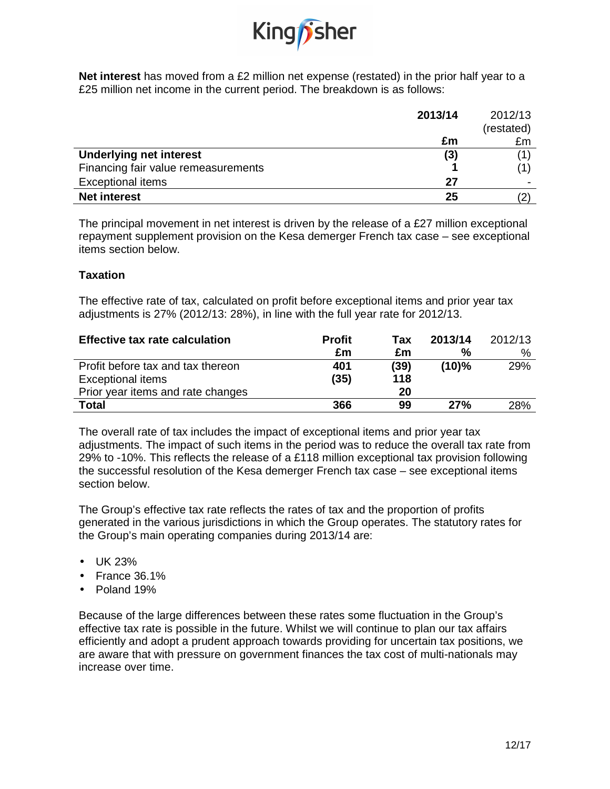

**Net interest** has moved from a £2 million net expense (restated) in the prior half year to a £25 million net income in the current period. The breakdown is as follows:

|                                     | 2013/14 | 2012/13<br>(restated) |
|-------------------------------------|---------|-----------------------|
|                                     | £m      | £m                    |
| <b>Underlying net interest</b>      | (3)     |                       |
| Financing fair value remeasurements |         |                       |
| <b>Exceptional items</b>            | 27      |                       |
| <b>Net interest</b>                 | 25      |                       |

The principal movement in net interest is driven by the release of a £27 million exceptional repayment supplement provision on the Kesa demerger French tax case – see exceptional items section below.

### **Taxation**

The effective rate of tax, calculated on profit before exceptional items and prior year tax adjustments is 27% (2012/13: 28%), in line with the full year rate for 2012/13.

| <b>Effective tax rate calculation</b> | <b>Profit</b> | Tax  | 2013/14  | 2012/13 |
|---------------------------------------|---------------|------|----------|---------|
|                                       | £m            | £m   | %        | $\%$    |
| Profit before tax and tax thereon     | 401           | (39) | $(10)\%$ | 29%     |
| <b>Exceptional items</b>              | (35)          | 118  |          |         |
| Prior year items and rate changes     |               | 20   |          |         |
| <b>Total</b>                          | 366           | 99   | 27%      | 28%     |

The overall rate of tax includes the impact of exceptional items and prior year tax adjustments. The impact of such items in the period was to reduce the overall tax rate from 29% to -10%. This reflects the release of a £118 million exceptional tax provision following the successful resolution of the Kesa demerger French tax case – see exceptional items section below.

The Group's effective tax rate reflects the rates of tax and the proportion of profits generated in the various jurisdictions in which the Group operates. The statutory rates for the Group's main operating companies during 2013/14 are:

- UK 23%
- France 36.1%
- Poland 19%

Because of the large differences between these rates some fluctuation in the Group's effective tax rate is possible in the future. Whilst we will continue to plan our tax affairs efficiently and adopt a prudent approach towards providing for uncertain tax positions, we are aware that with pressure on government finances the tax cost of multi-nationals may increase over time.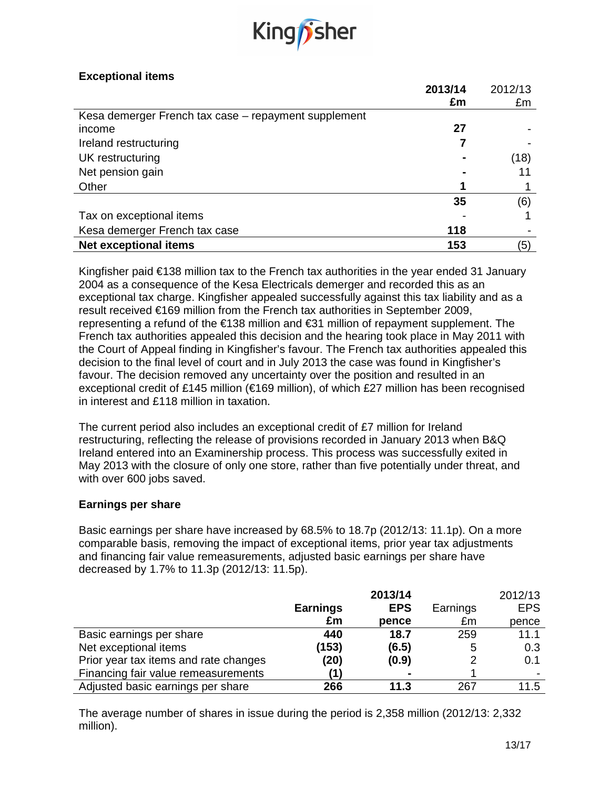

**2013/14**

2012/13

# **Exceptional items**

|                                                      | 2013/14 | 2012/13 |
|------------------------------------------------------|---------|---------|
|                                                      | £m      | £m      |
| Kesa demerger French tax case - repayment supplement |         |         |
| income                                               | 27      |         |
| Ireland restructuring                                |         |         |
| UK restructuring                                     |         | (18)    |
| Net pension gain                                     |         |         |
| Other                                                |         |         |
|                                                      | 35      | (6)     |
| Tax on exceptional items                             |         |         |
| Kesa demerger French tax case                        | 118     |         |
| <b>Net exceptional items</b>                         | 153     | (5)     |

Kingfisher paid €138 million tax to the French tax authorities in the year ended 31 January 2004 as a consequence of the Kesa Electricals demerger and recorded this as an exceptional tax charge. Kingfisher appealed successfully against this tax liability and as a result received €169 million from the French tax authorities in September 2009, representing a refund of the €138 million and €31 million of repayment supplement. The French tax authorities appealed this decision and the hearing took place in May 2011 with the Court of Appeal finding in Kingfisher's favour. The French tax authorities appealed this decision to the final level of court and in July 2013 the case was found in Kingfisher's favour. The decision removed any uncertainty over the position and resulted in an exceptional credit of £145 million (€169 million), of which £27 million has been recognised in interest and £118 million in taxation.

The current period also includes an exceptional credit of £7 million for Ireland restructuring, reflecting the release of provisions recorded in January 2013 when B&Q Ireland entered into an Examinership process. This process was successfully exited in May 2013 with the closure of only one store, rather than five potentially under threat, and with over 600 jobs saved.

### **Earnings per share**

Basic earnings per share have increased by 68.5% to 18.7p (2012/13: 11.1p). On a more comparable basis, removing the impact of exceptional items, prior year tax adjustments and financing fair value remeasurements, adjusted basic earnings per share have decreased by 1.7% to 11.3p (2012/13: 11.5p).

|                                       |                 | 2013/14    |          | 2012/13    |
|---------------------------------------|-----------------|------------|----------|------------|
|                                       | <b>Earnings</b> | <b>EPS</b> | Earnings | <b>EPS</b> |
|                                       | £m              | pence      | £m       | pence      |
| Basic earnings per share              | 440             | 18.7       | 259      | 11.1       |
| Net exceptional items                 | (153)           | (6.5)      | 5        | 0.3        |
| Prior year tax items and rate changes | (20)            | (0.9)      | 2        | 0.1        |
| Financing fair value remeasurements   |                 |            |          |            |
| Adjusted basic earnings per share     | 266             | 11.3       | 267      | 11.5       |

The average number of shares in issue during the period is 2,358 million (2012/13: 2,332 million).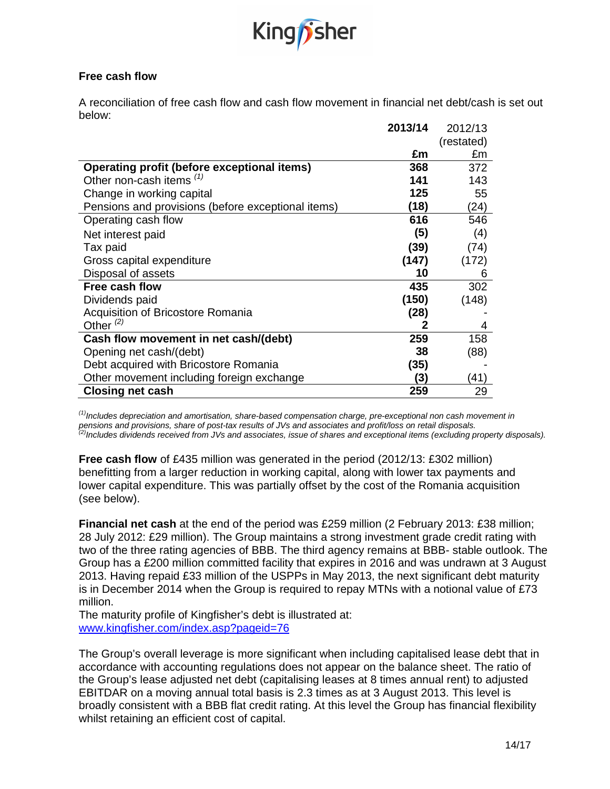

# **Free cash flow**

A reconciliation of free cash flow and cash flow movement in financial net debt/cash is set out below: **2013/14**

|                                                    | 2013/14 | 2012/13    |
|----------------------------------------------------|---------|------------|
|                                                    |         | (restated) |
|                                                    | £m      | £m         |
| <b>Operating profit (before exceptional items)</b> | 368     | 372        |
| Other non-cash items $(1)$                         | 141     | 143        |
| Change in working capital                          | 125     | 55         |
| Pensions and provisions (before exceptional items) | (18)    | (24)       |
| Operating cash flow                                | 616     | 546        |
| Net interest paid                                  | (5)     | (4)        |
| Tax paid                                           | (39)    | (74)       |
| Gross capital expenditure                          | (147)   | (172)      |
| Disposal of assets                                 | 10      | 6          |
| Free cash flow                                     | 435     | 302        |
| Dividends paid                                     | (150)   | (148)      |
| <b>Acquisition of Bricostore Romania</b>           | (28)    |            |
| Other $(2)$                                        | 2       | 4          |
| Cash flow movement in net cash/(debt)              | 259     | 158        |
| Opening net cash/(debt)                            | 38      | (88)       |
| Debt acquired with Bricostore Romania              | (35)    |            |
| Other movement including foreign exchange          | (3)     | 41)        |
| <b>Closing net cash</b>                            | 259     | 29         |

 $<sup>(1)</sup>$ Includes depreciation and amortisation, share-based compensation charge, pre-exceptional non cash movement in</sup> pensions and provisions, share of post-tax results of JVs and associates and profit/loss on retail disposals.<br><sup>(2)</sup>Includes dividends received from JVs and associates, issue of shares and exceptional items (excluding prope

**Free cash flow** of £435 million was generated in the period (2012/13: £302 million) benefitting from a larger reduction in working capital, along with lower tax payments and lower capital expenditure. This was partially offset by the cost of the Romania acquisition (see below).

**Financial net cash** at the end of the period was £259 million (2 February 2013: £38 million; 28 July 2012: £29 million). The Group maintains a strong investment grade credit rating with two of the three rating agencies of BBB. The third agency remains at BBB- stable outlook. The Group has a £200 million committed facility that expires in 2016 and was undrawn at 3 August 2013. Having repaid £33 million of the USPPs in May 2013, the next significant debt maturity is in December 2014 when the Group is required to repay MTNs with a notional value of £73 million.

The maturity profile of Kingfisher's debt is illustrated at: www.kingfisher.com/index.asp?pageid=76

The Group's overall leverage is more significant when including capitalised lease debt that in accordance with accounting regulations does not appear on the balance sheet. The ratio of the Group's lease adjusted net debt (capitalising leases at 8 times annual rent) to adjusted EBITDAR on a moving annual total basis is 2.3 times as at 3 August 2013. This level is broadly consistent with a BBB flat credit rating. At this level the Group has financial flexibility whilst retaining an efficient cost of capital.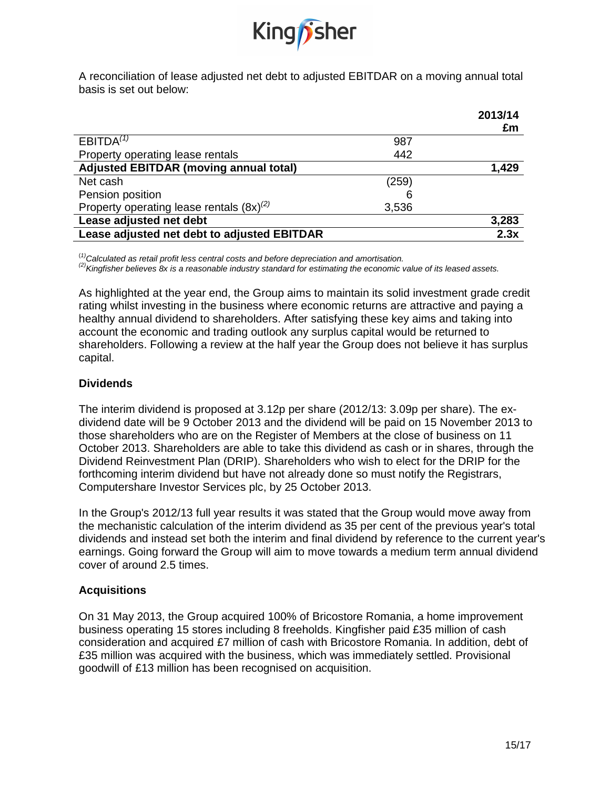

A reconciliation of lease adjusted net debt to adjusted EBITDAR on a moving annual total basis is set out below:

|                                               |       | 2013/14 |
|-----------------------------------------------|-------|---------|
|                                               |       | £m      |
| EBITDA <sup><math>7</math></sup>              | 987   |         |
| Property operating lease rentals              | 442   |         |
| <b>Adjusted EBITDAR (moving annual total)</b> |       | 1,429   |
| Net cash                                      | (259) |         |
| Pension position                              | 6     |         |
| Property operating lease rentals $(8x)^{(2)}$ | 3,536 |         |
| Lease adjusted net debt                       |       | 3,283   |
| Lease adjusted net debt to adjusted EBITDAR   |       | 2.3x    |

 $<sup>(1)</sup>$ Calculated as retail profit less central costs and before depreciation and amortisation.</sup>

 $^{(2)}$ Kingfisher believes 8x is a reasonable industry standard for estimating the economic value of its leased assets.

As highlighted at the year end, the Group aims to maintain its solid investment grade credit rating whilst investing in the business where economic returns are attractive and paying a healthy annual dividend to shareholders. After satisfying these key aims and taking into account the economic and trading outlook any surplus capital would be returned to shareholders. Following a review at the half year the Group does not believe it has surplus capital.

### **Dividends**

The interim dividend is proposed at 3.12p per share (2012/13: 3.09p per share). The exdividend date will be 9 October 2013 and the dividend will be paid on 15 November 2013 to those shareholders who are on the Register of Members at the close of business on 11 October 2013. Shareholders are able to take this dividend as cash or in shares, through the Dividend Reinvestment Plan (DRIP). Shareholders who wish to elect for the DRIP for the forthcoming interim dividend but have not already done so must notify the Registrars, Computershare Investor Services plc, by 25 October 2013.

In the Group's 2012/13 full year results it was stated that the Group would move away from the mechanistic calculation of the interim dividend as 35 per cent of the previous year's total dividends and instead set both the interim and final dividend by reference to the current year's earnings. Going forward the Group will aim to move towards a medium term annual dividend cover of around 2.5 times.

### **Acquisitions**

On 31 May 2013, the Group acquired 100% of Bricostore Romania, a home improvement business operating 15 stores including 8 freeholds. Kingfisher paid £35 million of cash consideration and acquired £7 million of cash with Bricostore Romania. In addition, debt of £35 million was acquired with the business, which was immediately settled. Provisional goodwill of £13 million has been recognised on acquisition.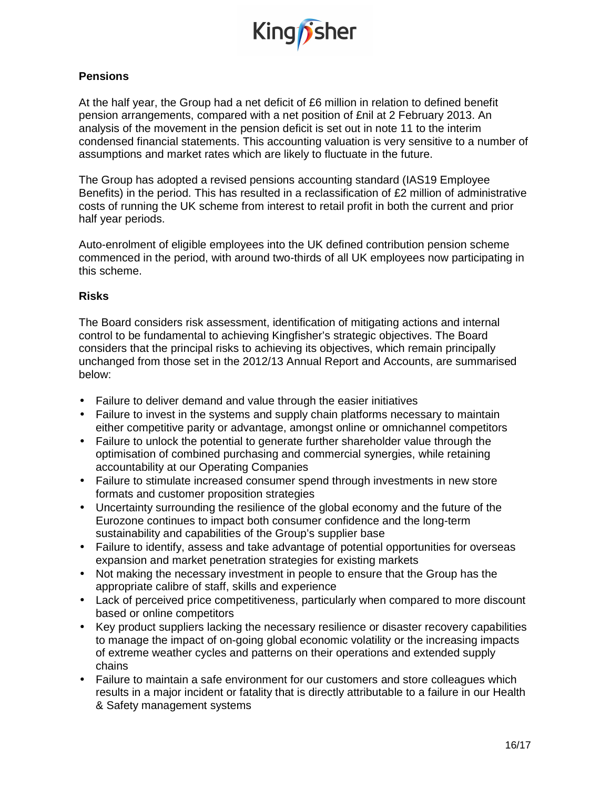

# **Pensions**

At the half year, the Group had a net deficit of £6 million in relation to defined benefit pension arrangements, compared with a net position of £nil at 2 February 2013. An analysis of the movement in the pension deficit is set out in note 11 to the interim condensed financial statements. This accounting valuation is very sensitive to a number of assumptions and market rates which are likely to fluctuate in the future.

The Group has adopted a revised pensions accounting standard (IAS19 Employee Benefits) in the period. This has resulted in a reclassification of £2 million of administrative costs of running the UK scheme from interest to retail profit in both the current and prior half year periods.

Auto-enrolment of eligible employees into the UK defined contribution pension scheme commenced in the period, with around two-thirds of all UK employees now participating in this scheme.

### **Risks**

The Board considers risk assessment, identification of mitigating actions and internal control to be fundamental to achieving Kingfisher's strategic objectives. The Board considers that the principal risks to achieving its objectives, which remain principally unchanged from those set in the 2012/13 Annual Report and Accounts, are summarised below:

- Failure to deliver demand and value through the easier initiatives
- Failure to invest in the systems and supply chain platforms necessary to maintain either competitive parity or advantage, amongst online or omnichannel competitors
- Failure to unlock the potential to generate further shareholder value through the optimisation of combined purchasing and commercial synergies, while retaining accountability at our Operating Companies
- Failure to stimulate increased consumer spend through investments in new store formats and customer proposition strategies
- Uncertainty surrounding the resilience of the global economy and the future of the Eurozone continues to impact both consumer confidence and the long-term sustainability and capabilities of the Group's supplier base
- Failure to identify, assess and take advantage of potential opportunities for overseas expansion and market penetration strategies for existing markets
- Not making the necessary investment in people to ensure that the Group has the appropriate calibre of staff, skills and experience
- Lack of perceived price competitiveness, particularly when compared to more discount based or online competitors
- Key product suppliers lacking the necessary resilience or disaster recovery capabilities to manage the impact of on-going global economic volatility or the increasing impacts of extreme weather cycles and patterns on their operations and extended supply chains
- Failure to maintain a safe environment for our customers and store colleagues which results in a major incident or fatality that is directly attributable to a failure in our Health & Safety management systems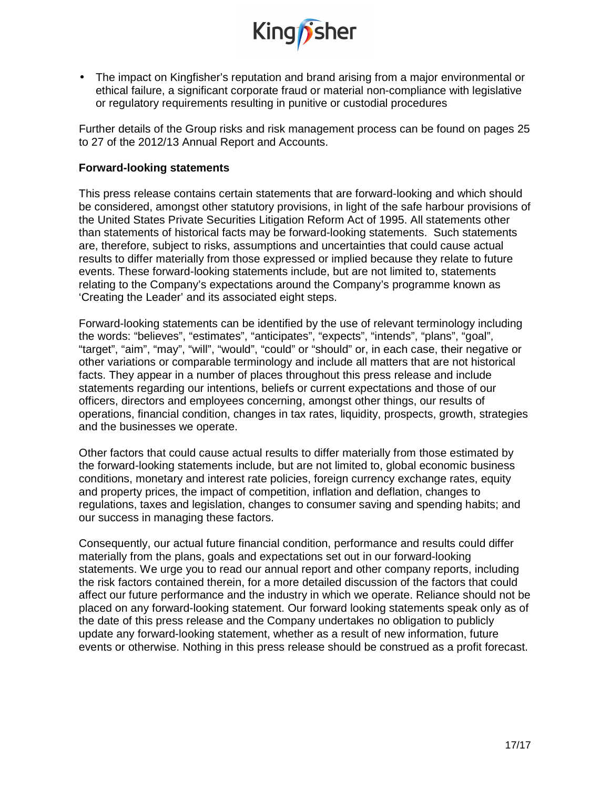

• The impact on Kingfisher's reputation and brand arising from a major environmental or ethical failure, a significant corporate fraud or material non-compliance with legislative or regulatory requirements resulting in punitive or custodial procedures

Further details of the Group risks and risk management process can be found on pages 25 to 27 of the 2012/13 Annual Report and Accounts.

### **Forward-looking statements**

This press release contains certain statements that are forward-looking and which should be considered, amongst other statutory provisions, in light of the safe harbour provisions of the United States Private Securities Litigation Reform Act of 1995. All statements other than statements of historical facts may be forward-looking statements. Such statements are, therefore, subject to risks, assumptions and uncertainties that could cause actual results to differ materially from those expressed or implied because they relate to future events. These forward-looking statements include, but are not limited to, statements relating to the Company's expectations around the Company's programme known as 'Creating the Leader' and its associated eight steps.

Forward-looking statements can be identified by the use of relevant terminology including the words: "believes", "estimates", "anticipates", "expects", "intends", "plans", "goal", "target", "aim", "may", "will", "would", "could" or "should" or, in each case, their negative or other variations or comparable terminology and include all matters that are not historical facts. They appear in a number of places throughout this press release and include statements regarding our intentions, beliefs or current expectations and those of our officers, directors and employees concerning, amongst other things, our results of operations, financial condition, changes in tax rates, liquidity, prospects, growth, strategies and the businesses we operate.

Other factors that could cause actual results to differ materially from those estimated by the forward-looking statements include, but are not limited to, global economic business conditions, monetary and interest rate policies, foreign currency exchange rates, equity and property prices, the impact of competition, inflation and deflation, changes to regulations, taxes and legislation, changes to consumer saving and spending habits; and our success in managing these factors.

Consequently, our actual future financial condition, performance and results could differ materially from the plans, goals and expectations set out in our forward-looking statements. We urge you to read our annual report and other company reports, including the risk factors contained therein, for a more detailed discussion of the factors that could affect our future performance and the industry in which we operate. Reliance should not be placed on any forward-looking statement. Our forward looking statements speak only as of the date of this press release and the Company undertakes no obligation to publicly update any forward-looking statement, whether as a result of new information, future events or otherwise. Nothing in this press release should be construed as a profit forecast.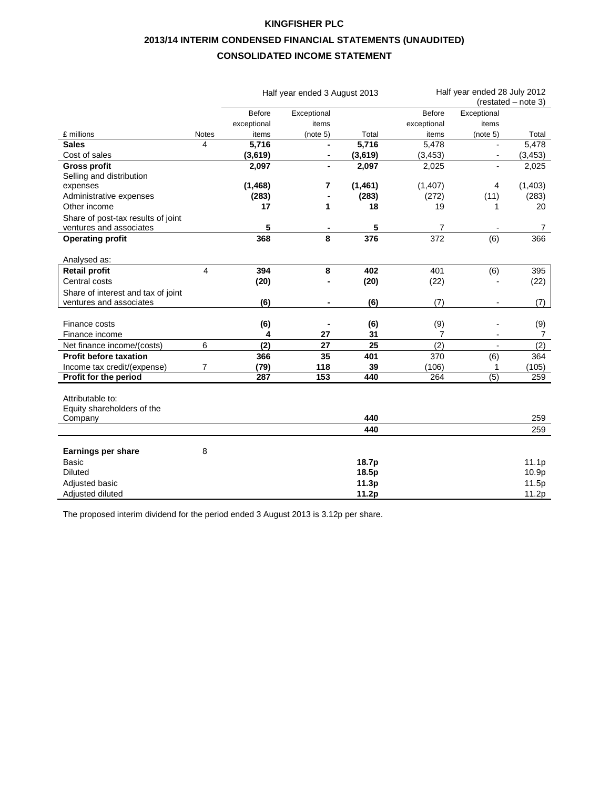### **2013/14 INTERIM CONDENSED FINANCIAL STATEMENTS (UNAUDITED)**

### **CONSOLIDATED INCOME STATEMENT**

|                                    |              |                  | Half year ended 28 July 2012<br>Half year ended 3 August 2013<br>$(resated - note 3)$ |         |                |                          |                   |
|------------------------------------|--------------|------------------|---------------------------------------------------------------------------------------|---------|----------------|--------------------------|-------------------|
|                                    |              | Before           | Exceptional                                                                           |         | <b>Before</b>  | Exceptional              |                   |
|                                    |              | exceptional      | items                                                                                 |         | exceptional    | items                    |                   |
| £ millions                         | <b>Notes</b> | items            | (note 5)                                                                              | Total   | items          | (note 5)                 | Total             |
| <b>Sales</b>                       | 4            | 5,716            | ä,                                                                                    | 5,716   | 5,478          | $\overline{a}$           | 5,478             |
| Cost of sales                      |              | (3,619)          | ۰                                                                                     | (3,619) | (3, 453)       | $\overline{a}$           | (3, 453)          |
| <b>Gross profit</b>                |              | 2,097            | ۰                                                                                     | 2,097   | 2,025          | $\overline{a}$           | 2,025             |
| Selling and distribution           |              |                  |                                                                                       |         |                |                          |                   |
| expenses                           |              | (1, 468)         | 7                                                                                     | (1,461) | (1, 407)       | 4                        | (1,403)           |
| Administrative expenses            |              | (283)            |                                                                                       | (283)   | (272)          | (11)                     | (283)             |
| Other income                       |              | 17               | 1                                                                                     | 18      | 19             | 1                        | 20                |
| Share of post-tax results of joint |              |                  |                                                                                       |         |                |                          |                   |
| ventures and associates            |              | 5                | ٠                                                                                     | 5       | 7              |                          | 7                 |
| <b>Operating profit</b>            |              | 368              | 8                                                                                     | 376     | 372            | (6)                      | 366               |
|                                    |              |                  |                                                                                       |         |                |                          |                   |
| Analysed as:                       |              |                  |                                                                                       |         |                |                          |                   |
| <b>Retail profit</b>               | 4            | 394              | 8                                                                                     | 402     | 401            | (6)                      | 395               |
| Central costs                      |              | (20)             |                                                                                       | (20)    | (22)           |                          | (22)              |
| Share of interest and tax of joint |              |                  |                                                                                       |         |                |                          |                   |
| ventures and associates            |              | (6)              |                                                                                       | (6)     | (7)            |                          | (7)               |
|                                    |              |                  |                                                                                       |         |                |                          |                   |
| Finance costs                      |              | (6)              |                                                                                       | (6)     | (9)            |                          | (9)               |
| Finance income                     |              | 4                | 27                                                                                    | 31      | $\overline{7}$ |                          | 7                 |
| Net finance income/(costs)         | 6            | (2)              | 27                                                                                    | 25      | (2)            | $\overline{\phantom{a}}$ | (2)               |
| <b>Profit before taxation</b>      |              | 366              | 35                                                                                    | 401     | 370            | (6)                      | 364               |
| Income tax credit/(expense)        | 7            | (79)             | 118                                                                                   | 39      | (106)          | 1                        | (105)             |
| Profit for the period              |              | $\overline{287}$ | 153                                                                                   | 440     | 264            | (5)                      | 259               |
|                                    |              |                  |                                                                                       |         |                |                          |                   |
| Attributable to:                   |              |                  |                                                                                       |         |                |                          |                   |
| Equity shareholders of the         |              |                  |                                                                                       |         |                |                          |                   |
| Company                            |              |                  |                                                                                       | 440     |                |                          | 259               |
|                                    |              |                  |                                                                                       | 440     |                |                          | 259               |
|                                    |              |                  |                                                                                       |         |                |                          |                   |
| Earnings per share                 | 8            |                  |                                                                                       |         |                |                          |                   |
| <b>Basic</b>                       |              |                  |                                                                                       | 18.7p   |                |                          | 11.1p             |
| <b>Diluted</b>                     |              |                  |                                                                                       | 18.5p   |                |                          | 10.9 <sub>p</sub> |
| Adjusted basic                     |              |                  |                                                                                       | 11.3p   |                |                          | 11.5p             |
| Adjusted diluted                   |              |                  |                                                                                       | 11.2p   |                |                          | 11.2p             |

The proposed interim dividend for the period ended 3 August 2013 is 3.12p per share.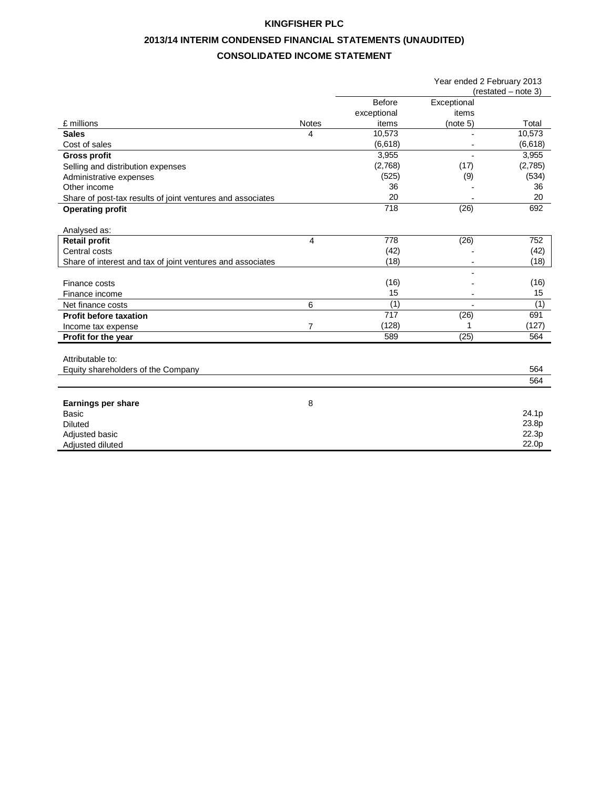# **2013/14 INTERIM CONDENSED FINANCIAL STATEMENTS (UNAUDITED)**

### **CONSOLIDATED INCOME STATEMENT**

|                                                            |                |               | Year ended 2 February 2013 |                      |
|------------------------------------------------------------|----------------|---------------|----------------------------|----------------------|
|                                                            |                |               |                            | $(resated - note 3)$ |
|                                                            |                | <b>Before</b> | Exceptional                |                      |
|                                                            |                | exceptional   | items                      |                      |
| £ millions                                                 | <b>Notes</b>   | items         | (note 5)                   | Total                |
| <b>Sales</b>                                               | 4              | 10,573        |                            | 10,573               |
| Cost of sales                                              |                | (6,618)       |                            | (6,618)              |
| <b>Gross profit</b>                                        |                | 3,955         | $\blacksquare$             | 3,955                |
| Selling and distribution expenses                          |                | (2,768)       | (17)                       | (2,785)              |
| Administrative expenses                                    |                | (525)         | (9)                        | (534)                |
| Other income                                               |                | 36            |                            | 36                   |
| Share of post-tax results of joint ventures and associates |                | 20            |                            | 20                   |
| <b>Operating profit</b>                                    |                | 718           | (26)                       | 692                  |
| Analysed as:                                               |                |               |                            |                      |
| <b>Retail profit</b>                                       | 4              | 778           | (26)                       | 752                  |
| Central costs                                              |                | (42)          |                            | (42)                 |
| Share of interest and tax of joint ventures and associates |                | (18)          |                            | (18)                 |
|                                                            |                |               |                            |                      |
| Finance costs                                              |                | (16)          |                            | (16)                 |
| Finance income                                             |                | 15            |                            | 15                   |
| Net finance costs                                          | 6              | (1)           |                            | (1)                  |
| <b>Profit before taxation</b>                              |                | 717           | (26)                       | 691                  |
| Income tax expense                                         | $\overline{7}$ | (128)         |                            | (127)                |
| Profit for the year                                        |                | 589           | (25)                       | 564                  |
| Attributable to:                                           |                |               |                            |                      |
| Equity shareholders of the Company                         |                |               |                            | 564                  |
|                                                            |                |               |                            | 564                  |
|                                                            |                |               |                            |                      |
| <b>Earnings per share</b>                                  | 8              |               |                            |                      |
| <b>Basic</b>                                               |                |               |                            | 24.1p                |
| <b>Diluted</b>                                             |                |               |                            | 23.8p                |
| Adjusted basic                                             |                |               |                            | 22.3p                |
| Adjusted diluted                                           |                |               |                            | 22.0p                |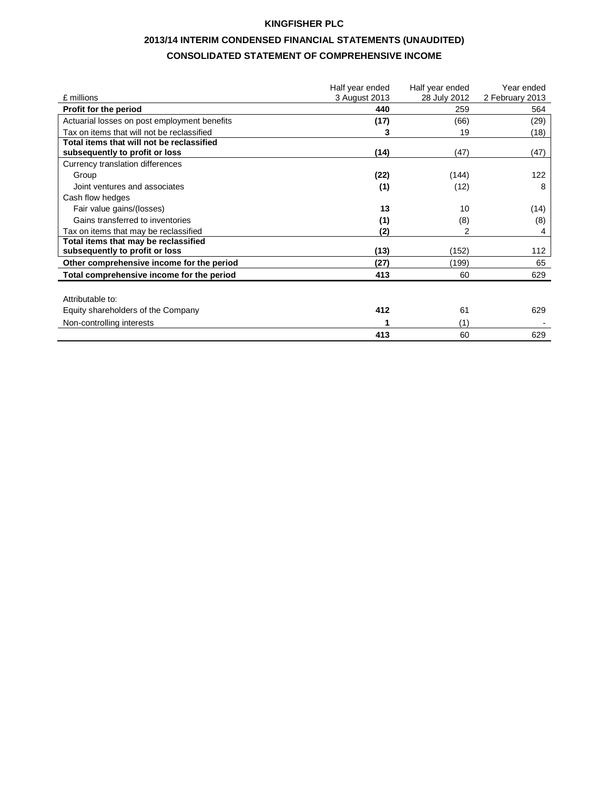# **2013/14 INTERIM CONDENSED FINANCIAL STATEMENTS (UNAUDITED)**

### **CONSOLIDATED STATEMENT OF COMPREHENSIVE INCOME**

|                                              | Half year ended | Half year ended | Year ended      |
|----------------------------------------------|-----------------|-----------------|-----------------|
| £ millions                                   | 3 August 2013   | 28 July 2012    | 2 February 2013 |
| Profit for the period                        | 440             | 259             | 564             |
| Actuarial losses on post employment benefits | (17)            | (66)            | (29)            |
| Tax on items that will not be reclassified   | 3               | 19              | (18)            |
| Total items that will not be reclassified    |                 |                 |                 |
| subsequently to profit or loss               | (14)            | (47)            | (47)            |
| Currency translation differences             |                 |                 |                 |
| Group                                        | (22)            | (144)           | 122             |
| Joint ventures and associates                | (1)             | (12)            | 8               |
| Cash flow hedges                             |                 |                 |                 |
| Fair value gains/(losses)                    | 13              | 10              | (14)            |
| Gains transferred to inventories             | (1)             | (8)             | (8)             |
| Tax on items that may be reclassified        | (2)             | 2               | 4               |
| Total items that may be reclassified         |                 |                 |                 |
| subsequently to profit or loss               | (13)            | (152)           | 112             |
| Other comprehensive income for the period    | (27)            | (199)           | 65              |
| Total comprehensive income for the period    | 413             | 60              | 629             |
|                                              |                 |                 |                 |
| Attributable to:                             |                 |                 |                 |
| Equity shareholders of the Company           | 412             | 61              | 629             |
| Non-controlling interests                    |                 | (1)             |                 |
|                                              | 413             | 60              | 629             |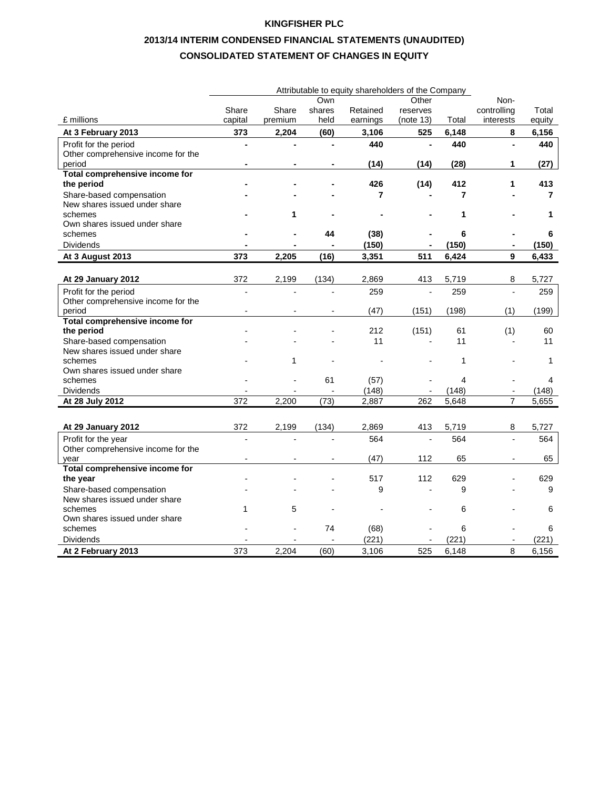# **2013/14 INTERIM CONDENSED FINANCIAL STATEMENTS (UNAUDITED)**

### **CONSOLIDATED STATEMENT OF CHANGES IN EQUITY**

|                                          | Attributable to equity shareholders of the Company |         |                |          |                          |       |                              |                |
|------------------------------------------|----------------------------------------------------|---------|----------------|----------|--------------------------|-------|------------------------------|----------------|
|                                          |                                                    |         | Own            |          | Other                    |       | Non-                         |                |
|                                          | Share                                              | Share   | shares         | Retained | reserves                 |       | controlling                  | Total          |
| £ millions                               | capital                                            | premium | held           | earnings | (note 13)                | Total | interests                    | equity         |
| At 3 February 2013                       | 373                                                | 2,204   | (60)           | 3,106    | 525                      | 6,148 | 8                            | 6,156          |
| Profit for the period                    |                                                    |         |                | 440      |                          | 440   | L.                           | 440            |
| Other comprehensive income for the       |                                                    |         |                |          |                          |       |                              |                |
| period                                   |                                                    |         | $\blacksquare$ | (14)     | (14)                     | (28)  | 1                            | (27)           |
| Total comprehensive income for           |                                                    |         |                |          |                          |       |                              |                |
| the period                               |                                                    |         |                | 426      | (14)                     | 412   | 1                            | 413            |
| Share-based compensation                 |                                                    |         |                | 7        |                          | 7     |                              | $\overline{7}$ |
| New shares issued under share            |                                                    |         |                |          |                          |       |                              |                |
| schemes<br>Own shares issued under share |                                                    | 1       |                |          |                          | 1     |                              | 1              |
| schemes                                  |                                                    |         | 44             | (38)     |                          | 6     |                              | 6              |
| <b>Dividends</b>                         |                                                    |         |                | (150)    |                          | (150) | $\qquad \qquad \blacksquare$ | (150)          |
| At 3 August 2013                         | 373                                                | 2,205   | (16)           | 3,351    | 511                      | 6,424 | 9                            |                |
|                                          |                                                    |         |                |          |                          |       |                              | 6,433          |
|                                          |                                                    |         |                |          |                          |       |                              |                |
| At 29 January 2012                       | 372                                                | 2,199   | (134)          | 2,869    | 413                      | 5,719 | 8                            | 5,727          |
| Profit for the period                    | $\overline{a}$                                     |         | $\overline{a}$ | 259      | $\blacksquare$           | 259   | $\frac{1}{2}$                | 259            |
| Other comprehensive income for the       |                                                    |         |                | (47)     |                          | (198) | (1)                          | (199)          |
| period<br>Total comprehensive income for |                                                    |         |                |          | (151)                    |       |                              |                |
| the period                               |                                                    |         |                | 212      | (151)                    | 61    | (1)                          | 60             |
| Share-based compensation                 |                                                    |         |                | 11       |                          | 11    | $\overline{a}$               | 11             |
| New shares issued under share            |                                                    |         |                |          |                          |       |                              |                |
| schemes                                  |                                                    | 1       |                |          |                          | 1     |                              | 1              |
| Own shares issued under share            |                                                    |         |                |          |                          |       |                              |                |
| schemes                                  |                                                    |         | 61             | (57)     |                          | 4     |                              | 4              |
| <b>Dividends</b>                         |                                                    |         |                | (148)    |                          | (148) | $\overline{\phantom{a}}$     | (148)          |
| At 28 July 2012                          | 372                                                | 2,200   | (73)           | 2,887    | 262                      | 5,648 | $\overline{7}$               | 5,655          |
|                                          |                                                    |         |                |          |                          |       |                              |                |
| At 29 January 2012                       | 372                                                | 2,199   | (134)          | 2,869    | 413                      | 5,719 | 8                            | 5,727          |
| Profit for the year                      |                                                    |         |                | 564      | $\overline{\phantom{a}}$ | 564   | $\frac{1}{2}$                | 564            |
| Other comprehensive income for the       |                                                    |         |                |          |                          |       |                              |                |
| vear                                     |                                                    |         | $\blacksquare$ | (47)     | 112                      | 65    | $\overline{\phantom{a}}$     | 65             |
| Total comprehensive income for           |                                                    |         |                |          |                          |       |                              |                |
| the year                                 |                                                    |         |                | 517      | 112                      | 629   | L,                           | 629            |
| Share-based compensation                 |                                                    |         |                | 9        | $\blacksquare$           | 9     |                              | 9              |
| New shares issued under share            |                                                    |         |                |          |                          |       |                              |                |
| schemes                                  | 1                                                  | 5       |                |          |                          | 6     |                              | 6              |
| Own shares issued under share<br>schemes |                                                    |         | 74             |          |                          | 6     |                              | 6              |
|                                          |                                                    |         |                | (68)     |                          |       |                              |                |
| <b>Dividends</b>                         |                                                    |         |                | (221)    |                          | (221) |                              | (221)          |
| At 2 February 2013                       | 373                                                | 2,204   | (60)           | 3,106    | 525                      | 6,148 | 8                            | 6,156          |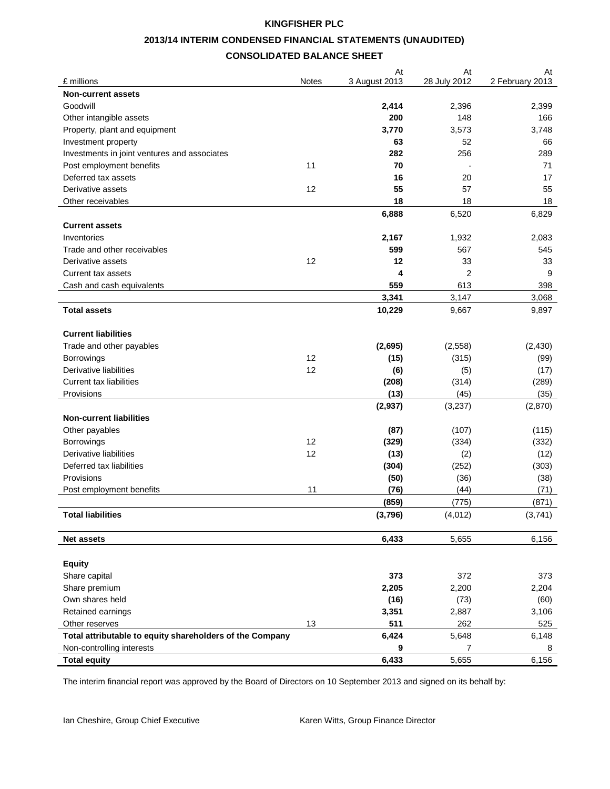### **2013/14 INTERIM CONDENSED FINANCIAL STATEMENTS (UNAUDITED)**

### **CONSOLIDATED BALANCE SHEET**

|                                                          |              | At            | At             | At              |
|----------------------------------------------------------|--------------|---------------|----------------|-----------------|
| £ millions                                               | <b>Notes</b> | 3 August 2013 | 28 July 2012   | 2 February 2013 |
| <b>Non-current assets</b>                                |              |               |                |                 |
| Goodwill                                                 |              | 2,414         | 2,396          | 2,399           |
| Other intangible assets                                  |              | 200           | 148            | 166             |
| Property, plant and equipment                            |              | 3,770         | 3,573          | 3,748           |
| Investment property                                      |              | 63            | 52             | 66              |
| Investments in joint ventures and associates             |              | 282           | 256            | 289             |
| Post employment benefits                                 | 11           | 70            |                | 71              |
| Deferred tax assets                                      |              | 16            | 20             | 17              |
| Derivative assets                                        | 12           | 55            | 57             | 55              |
| Other receivables                                        |              | 18            | 18             | 18              |
|                                                          |              | 6,888         | 6,520          | 6,829           |
| <b>Current assets</b>                                    |              |               |                |                 |
| Inventories                                              |              | 2,167         | 1,932          | 2,083           |
| Trade and other receivables                              |              | 599           | 567            | 545             |
| Derivative assets                                        | 12           | 12            | 33             | 33              |
| Current tax assets                                       |              | 4             | $\overline{2}$ | 9               |
| Cash and cash equivalents                                |              | 559           | 613            | 398             |
|                                                          |              | 3,341         | 3,147          | 3,068           |
| <b>Total assets</b>                                      |              | 10,229        | 9,667          | 9,897           |
|                                                          |              |               |                |                 |
| <b>Current liabilities</b>                               |              |               |                |                 |
| Trade and other payables                                 |              | (2,695)       | (2, 558)       | (2, 430)        |
| <b>Borrowings</b>                                        | 12           | (15)          | (315)          | (99)            |
| Derivative liabilities                                   | 12           | (6)           | (5)            | (17)            |
| <b>Current tax liabilities</b>                           |              | (208)         | (314)          | (289)           |
| Provisions                                               |              | (13)          | (45)           | (35)            |
|                                                          |              | (2, 937)      | (3,237)        | (2,870)         |
| <b>Non-current liabilities</b>                           |              |               |                |                 |
| Other payables                                           |              | (87)          | (107)          | (115)           |
| <b>Borrowings</b>                                        | 12           | (329)         | (334)          | (332)           |
| Derivative liabilities                                   | 12           | (13)          | (2)            | (12)            |
| Deferred tax liabilities                                 |              | (304)         | (252)          | (303)           |
| Provisions                                               |              | (50)          | (36)           | (38)            |
| Post employment benefits                                 | 11           | (76)          | (44)           | (71)            |
|                                                          |              | (859)         | (775)          | (871)           |
| <b>Total liabilities</b>                                 |              | (3,796)       | (4,012)        | (3,741)         |
|                                                          |              |               |                |                 |
| <b>Net assets</b>                                        |              | 6,433         | 5,655          | 6,156           |
|                                                          |              |               |                |                 |
| <b>Equity</b>                                            |              |               |                |                 |
| Share capital                                            |              | 373           | 372            | 373             |
| Share premium                                            |              | 2,205         | 2,200          | 2,204           |
| Own shares held                                          |              | (16)          | (73)           | (60)            |
| Retained earnings                                        |              | 3,351         | 2,887          | 3,106           |
| Other reserves                                           | 13           | 511           | 262            | 525             |
| Total attributable to equity shareholders of the Company |              | 6,424         | 5,648          | 6,148           |
| Non-controlling interests                                |              | 9             | 7              | 8               |
| <b>Total equity</b>                                      |              | 6,433         | 5,655          | 6,156           |
|                                                          |              |               |                |                 |

The interim financial report was approved by the Board of Directors on 10 September 2013 and signed on its behalf by: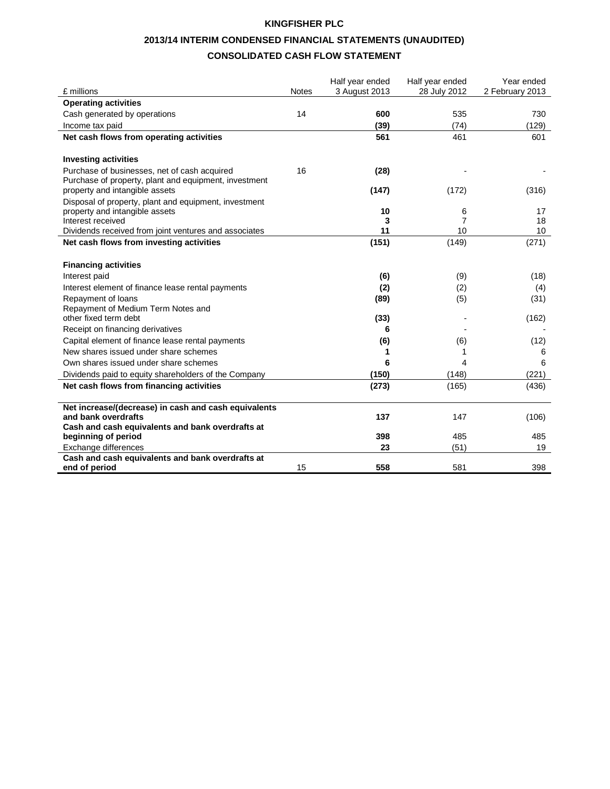# **2013/14 INTERIM CONDENSED FINANCIAL STATEMENTS (UNAUDITED)**

### **CONSOLIDATED CASH FLOW STATEMENT**

| £ millions                                                                                            | <b>Notes</b> | Half year ended<br>3 August 2013 | Half year ended<br>28 July 2012 | Year ended<br>2 February 2013 |
|-------------------------------------------------------------------------------------------------------|--------------|----------------------------------|---------------------------------|-------------------------------|
| <b>Operating activities</b>                                                                           |              |                                  |                                 |                               |
| Cash generated by operations                                                                          | 14           | 600                              | 535                             | 730                           |
| Income tax paid                                                                                       |              | (39)                             | (74)                            | (129)                         |
| Net cash flows from operating activities                                                              |              | 561                              | 461                             | 601                           |
| <b>Investing activities</b>                                                                           |              |                                  |                                 |                               |
| Purchase of businesses, net of cash acquired<br>Purchase of property, plant and equipment, investment | 16           | (28)                             |                                 |                               |
| property and intangible assets                                                                        |              | (147)                            | (172)                           | (316)                         |
| Disposal of property, plant and equipment, investment                                                 |              |                                  |                                 |                               |
| property and intangible assets<br>Interest received                                                   |              | 10<br>3                          | 6<br>7                          | 17<br>18                      |
| Dividends received from joint ventures and associates                                                 |              | 11                               | 10                              | 10                            |
| Net cash flows from investing activities                                                              |              | (151)                            | (149)                           | (271)                         |
| <b>Financing activities</b>                                                                           |              |                                  |                                 |                               |
| Interest paid                                                                                         |              | (6)                              | (9)                             | (18)                          |
| Interest element of finance lease rental payments                                                     |              | (2)                              | (2)                             | (4)                           |
| Repayment of loans                                                                                    |              | (89)                             | (5)                             | (31)                          |
| Repayment of Medium Term Notes and                                                                    |              |                                  |                                 |                               |
| other fixed term debt                                                                                 |              | (33)                             |                                 | (162)                         |
| Receipt on financing derivatives                                                                      |              | 6                                |                                 |                               |
| Capital element of finance lease rental payments                                                      |              | (6)                              | (6)                             | (12)                          |
| New shares issued under share schemes                                                                 |              | 1                                | 1                               | 6                             |
| Own shares issued under share schemes                                                                 |              | 6                                | 4                               | 6                             |
| Dividends paid to equity shareholders of the Company                                                  |              | (150)                            | (148)                           | (221)                         |
| Net cash flows from financing activities                                                              |              | (273)                            | (165)                           | (436)                         |
| Net increase/(decrease) in cash and cash equivalents                                                  |              |                                  |                                 |                               |
| and bank overdrafts                                                                                   |              | 137                              | 147                             | (106)                         |
| Cash and cash equivalents and bank overdrafts at                                                      |              | 398                              | 485                             | 485                           |
| beginning of period                                                                                   |              | 23                               | (51)                            | 19                            |
| Exchange differences<br>Cash and cash equivalents and bank overdrafts at                              |              |                                  |                                 |                               |
| end of period                                                                                         | 15           | 558                              | 581                             | 398                           |
|                                                                                                       |              |                                  |                                 |                               |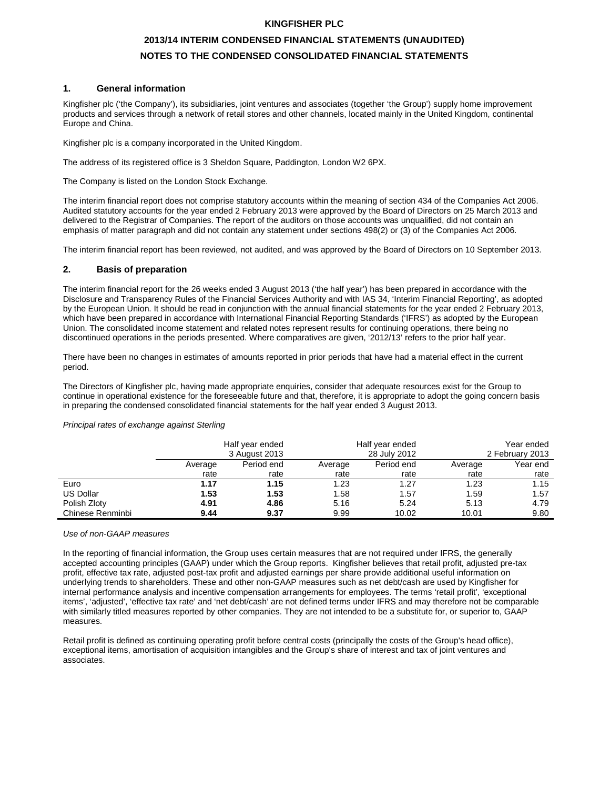# **2013/14 INTERIM CONDENSED FINANCIAL STATEMENTS (UNAUDITED) NOTES TO THE CONDENSED CONSOLIDATED FINANCIAL STATEMENTS**

#### **1. General information**

Kingfisher plc ('the Company'), its subsidiaries, joint ventures and associates (together 'the Group') supply home improvement products and services through a network of retail stores and other channels, located mainly in the United Kingdom, continental Europe and China.

Kingfisher plc is a company incorporated in the United Kingdom.

The address of its registered office is 3 Sheldon Square, Paddington, London W2 6PX.

The Company is listed on the London Stock Exchange.

The interim financial report does not comprise statutory accounts within the meaning of section 434 of the Companies Act 2006. Audited statutory accounts for the year ended 2 February 2013 were approved by the Board of Directors on 25 March 2013 and delivered to the Registrar of Companies. The report of the auditors on those accounts was unqualified, did not contain an emphasis of matter paragraph and did not contain any statement under sections 498(2) or (3) of the Companies Act 2006.

The interim financial report has been reviewed, not audited, and was approved by the Board of Directors on 10 September 2013.

#### **2. Basis of preparation**

The interim financial report for the 26 weeks ended 3 August 2013 ('the half year') has been prepared in accordance with the Disclosure and Transparency Rules of the Financial Services Authority and with IAS 34, 'Interim Financial Reporting', as adopted by the European Union. It should be read in conjunction with the annual financial statements for the year ended 2 February 2013, which have been prepared in accordance with International Financial Reporting Standards ('IFRS') as adopted by the European Union. The consolidated income statement and related notes represent results for continuing operations, there being no discontinued operations in the periods presented. Where comparatives are given, '2012/13' refers to the prior half year.

There have been no changes in estimates of amounts reported in prior periods that have had a material effect in the current period.

The Directors of Kingfisher plc, having made appropriate enquiries, consider that adequate resources exist for the Group to continue in operational existence for the foreseeable future and that, therefore, it is appropriate to adopt the going concern basis in preparing the condensed consolidated financial statements for the half year ended 3 August 2013.

|                  |         | Half year ended<br>3 August 2013 |         | Half year ended<br>28 July 2012 |         | Year ended<br>2 February 2013 |
|------------------|---------|----------------------------------|---------|---------------------------------|---------|-------------------------------|
|                  | Average | Period end                       | Average | Period end                      | Average | Year end                      |
|                  | rate    | rate                             | rate    | rate                            | rate    | rate                          |
| Euro             | 1.17    | 1.15                             | 1.23    | 1.27                            | 1.23    | 1.15                          |
| <b>US Dollar</b> | 1.53    | 1.53                             | 1.58    | 1.57                            | 1.59    | 1.57                          |
| Polish Zloty     | 4.91    | 4.86                             | 5.16    | 5.24                            | 5.13    | 4.79                          |
| Chinese Renminbi | 9.44    | 9.37                             | 9.99    | 10.02                           | 10.01   | 9.80                          |

#### Principal rates of exchange against Sterling

#### Use of non-GAAP measures

In the reporting of financial information, the Group uses certain measures that are not required under IFRS, the generally accepted accounting principles (GAAP) under which the Group reports. Kingfisher believes that retail profit, adjusted pre-tax profit, effective tax rate, adjusted post-tax profit and adjusted earnings per share provide additional useful information on underlying trends to shareholders. These and other non-GAAP measures such as net debt/cash are used by Kingfisher for internal performance analysis and incentive compensation arrangements for employees. The terms 'retail profit', 'exceptional items', 'adjusted', 'effective tax rate' and 'net debt/cash' are not defined terms under IFRS and may therefore not be comparable with similarly titled measures reported by other companies. They are not intended to be a substitute for, or superior to, GAAP measures.

Retail profit is defined as continuing operating profit before central costs (principally the costs of the Group's head office), exceptional items, amortisation of acquisition intangibles and the Group's share of interest and tax of joint ventures and associates.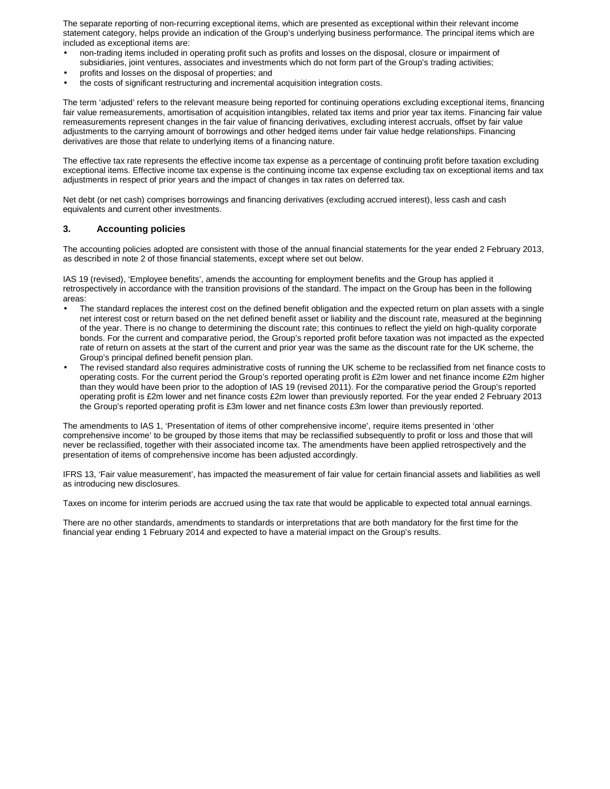The separate reporting of non-recurring exceptional items, which are presented as exceptional within their relevant income statement category, helps provide an indication of the Group's underlying business performance. The principal items which are included as exceptional items are:

- non-trading items included in operating profit such as profits and losses on the disposal, closure or impairment of subsidiaries, joint ventures, associates and investments which do not form part of the Group's trading activities;
- profits and losses on the disposal of properties; and
- the costs of significant restructuring and incremental acquisition integration costs.

The term 'adjusted' refers to the relevant measure being reported for continuing operations excluding exceptional items, financing fair value remeasurements, amortisation of acquisition intangibles, related tax items and prior year tax items. Financing fair value remeasurements represent changes in the fair value of financing derivatives, excluding interest accruals, offset by fair value adjustments to the carrying amount of borrowings and other hedged items under fair value hedge relationships. Financing derivatives are those that relate to underlying items of a financing nature.

The effective tax rate represents the effective income tax expense as a percentage of continuing profit before taxation excluding exceptional items. Effective income tax expense is the continuing income tax expense excluding tax on exceptional items and tax adjustments in respect of prior years and the impact of changes in tax rates on deferred tax.

Net debt (or net cash) comprises borrowings and financing derivatives (excluding accrued interest), less cash and cash equivalents and current other investments.

#### **3. Accounting policies**

The accounting policies adopted are consistent with those of the annual financial statements for the year ended 2 February 2013, as described in note 2 of those financial statements, except where set out below.

IAS 19 (revised), 'Employee benefits', amends the accounting for employment benefits and the Group has applied it retrospectively in accordance with the transition provisions of the standard. The impact on the Group has been in the following areas:

- The standard replaces the interest cost on the defined benefit obligation and the expected return on plan assets with a single net interest cost or return based on the net defined benefit asset or liability and the discount rate, measured at the beginning of the year. There is no change to determining the discount rate; this continues to reflect the yield on high-quality corporate bonds. For the current and comparative period, the Group's reported profit before taxation was not impacted as the expected rate of return on assets at the start of the current and prior year was the same as the discount rate for the UK scheme, the Group's principal defined benefit pension plan.
- The revised standard also requires administrative costs of running the UK scheme to be reclassified from net finance costs to operating costs. For the current period the Group's reported operating profit is £2m lower and net finance income £2m higher than they would have been prior to the adoption of IAS 19 (revised 2011). For the comparative period the Group's reported operating profit is £2m lower and net finance costs £2m lower than previously reported. For the year ended 2 February 2013 the Group's reported operating profit is £3m lower and net finance costs £3m lower than previously reported.

The amendments to IAS 1, 'Presentation of items of other comprehensive income', require items presented in 'other comprehensive income' to be grouped by those items that may be reclassified subsequently to profit or loss and those that will never be reclassified, together with their associated income tax. The amendments have been applied retrospectively and the presentation of items of comprehensive income has been adjusted accordingly.

IFRS 13, 'Fair value measurement', has impacted the measurement of fair value for certain financial assets and liabilities as well as introducing new disclosures.

Taxes on income for interim periods are accrued using the tax rate that would be applicable to expected total annual earnings.

There are no other standards, amendments to standards or interpretations that are both mandatory for the first time for the financial year ending 1 February 2014 and expected to have a material impact on the Group's results.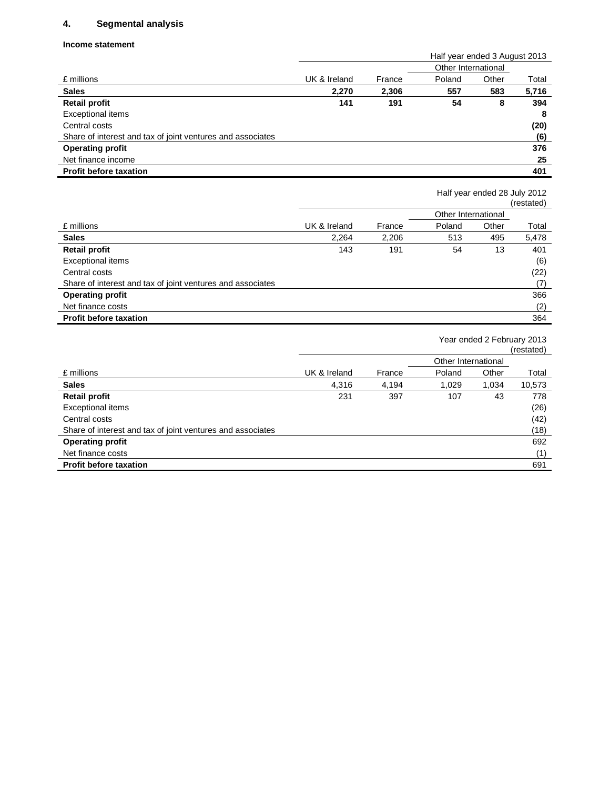# **4. Segmental analysis**

#### **Income statement**

|                                                            |              |        |                     | Half year ended 3 August 2013 |       |
|------------------------------------------------------------|--------------|--------|---------------------|-------------------------------|-------|
|                                                            |              |        | Other International |                               |       |
| £ millions                                                 | UK & Ireland | France | Poland              | Other                         | Total |
| <b>Sales</b>                                               | 2,270        | 2,306  | 557                 | 583                           | 5,716 |
| <b>Retail profit</b>                                       | 141          | 191    | 54                  | 8                             | 394   |
| Exceptional items                                          |              |        |                     |                               | 8     |
| Central costs                                              |              |        |                     |                               | (20)  |
| Share of interest and tax of joint ventures and associates |              |        |                     |                               | (6)   |
| <b>Operating profit</b>                                    |              |        |                     |                               | 376   |
| Net finance income                                         |              |        |                     |                               | 25    |
| <b>Profit before taxation</b>                              |              |        |                     |                               | 401   |

|                                                            |              |        | Half year ended 28 July 2012<br>(restated) |       |       |
|------------------------------------------------------------|--------------|--------|--------------------------------------------|-------|-------|
|                                                            |              |        | Other International                        |       |       |
| £ millions                                                 | UK & Ireland | France | Poland                                     | Other | Total |
| <b>Sales</b>                                               | 2,264        | 2,206  | 513                                        | 495   | 5,478 |
| <b>Retail profit</b>                                       | 143          | 191    | 54                                         | 13    | 401   |
| Exceptional items                                          |              |        |                                            |       | (6)   |
| Central costs                                              |              |        |                                            |       | (22)  |
| Share of interest and tax of joint ventures and associates |              |        |                                            |       | (7)   |
| <b>Operating profit</b>                                    |              |        |                                            |       | 366   |
| Net finance costs                                          |              |        |                                            |       | (2)   |
| <b>Profit before taxation</b>                              |              |        |                                            |       | 364   |

|                                                            |              |        | Year ended 2 February 2013<br>(restated) |       |        |
|------------------------------------------------------------|--------------|--------|------------------------------------------|-------|--------|
|                                                            |              |        | Other International                      |       |        |
| £ millions                                                 | UK & Ireland | France | Poland                                   | Other | Total  |
| <b>Sales</b>                                               | 4,316        | 4,194  | 1,029                                    | 1.034 | 10,573 |
| <b>Retail profit</b>                                       | 231          | 397    | 107                                      | 43    | 778    |
| <b>Exceptional items</b>                                   |              |        |                                          |       | (26)   |
| Central costs                                              |              |        |                                          |       | (42)   |
| Share of interest and tax of joint ventures and associates |              |        |                                          |       | (18)   |
| <b>Operating profit</b>                                    |              |        |                                          |       | 692    |
| Net finance costs                                          |              |        |                                          |       | (1)    |
| <b>Profit before taxation</b>                              |              |        |                                          |       | 691    |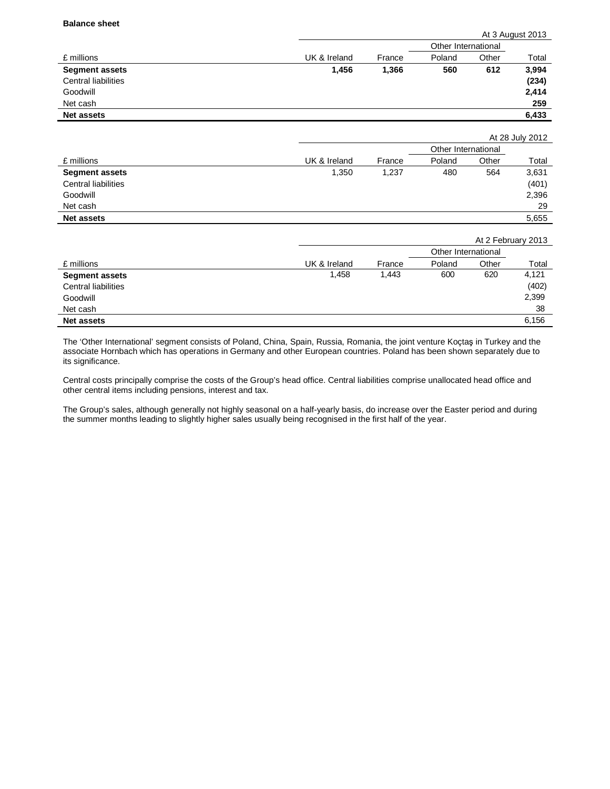|                            |              |        |                     |       | At 3 August 2013 |
|----------------------------|--------------|--------|---------------------|-------|------------------|
|                            |              |        | Other International |       |                  |
| £ millions                 | UK & Ireland | France | Poland              | Other | Total            |
| <b>Segment assets</b>      | 1,456        | 1,366  | 560                 | 612   | 3,994            |
| <b>Central liabilities</b> |              |        |                     |       | (234)            |
| Goodwill                   |              |        |                     |       | 2,414            |
| Net cash                   |              |        |                     |       | 259              |
| <b>Net assets</b>          |              |        |                     |       | 6,433            |
|                            |              |        |                     |       |                  |
|                            |              |        |                     |       | At 28 July 2012  |
|                            |              |        | Other International |       |                  |
| £ millions                 | UK & Ireland | France | Poland              | Other | Total            |
| <b>Segment assets</b>      | 1,350        | 1,237  | 480                 | 564   | 3,631            |
| <b>Central liabilities</b> |              |        |                     |       | (401)            |
| Goodwill                   |              |        |                     |       | 2,396            |
| Net cash                   |              |        |                     |       | 29               |
| <b>Net assets</b>          |              |        |                     |       | 5,655            |

|                       |              |        |                     | At 2 February 2013 |       |
|-----------------------|--------------|--------|---------------------|--------------------|-------|
|                       |              |        | Other International |                    |       |
| £ millions            | UK & Ireland | France | Poland              | Other              | Total |
| <b>Segment assets</b> | 1.458        | 1.443  | 600                 | 620                | 4,121 |
| Central liabilities   |              |        |                     |                    | (402) |
| Goodwill              |              |        |                     |                    | 2,399 |
| Net cash              |              |        |                     |                    | 38    |
| <b>Net assets</b>     |              |        |                     |                    | 6,156 |

The 'Other International' segment consists of Poland, China, Spain, Russia, Romania, the joint venture Koçtaş in Turkey and the associate Hornbach which has operations in Germany and other European countries. Poland has been shown separately due to its significance.

Central costs principally comprise the costs of the Group's head office. Central liabilities comprise unallocated head office and other central items including pensions, interest and tax.

The Group's sales, although generally not highly seasonal on a half-yearly basis, do increase over the Easter period and during the summer months leading to slightly higher sales usually being recognised in the first half of the year.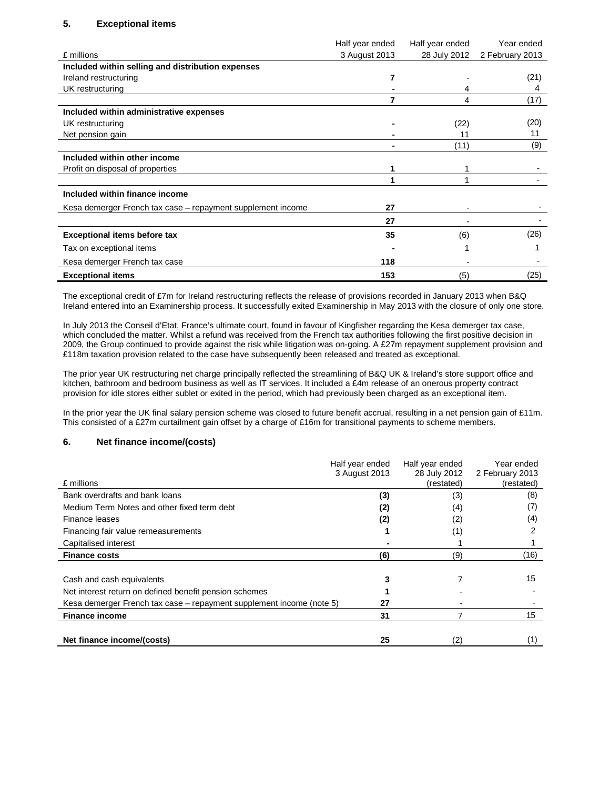#### **5. Exceptional items**

|                                                             | Half year ended | Half year ended | Year ended      |
|-------------------------------------------------------------|-----------------|-----------------|-----------------|
| £ millions                                                  | 3 August 2013   | 28 July 2012    | 2 February 2013 |
| Included within selling and distribution expenses           |                 |                 |                 |
| Ireland restructuring                                       |                 |                 | (21)            |
| UK restructuring                                            |                 |                 | 4               |
|                                                             |                 | 4               | (17)            |
| Included within administrative expenses                     |                 |                 |                 |
| UK restructuring                                            |                 | (22)            | (20)            |
| Net pension gain                                            |                 | 11              | 11              |
|                                                             |                 | (11)            | (9)             |
| Included within other income                                |                 |                 |                 |
| Profit on disposal of properties                            |                 |                 |                 |
|                                                             |                 |                 |                 |
| Included within finance income                              |                 |                 |                 |
| Kesa demerger French tax case – repayment supplement income | 27              |                 |                 |
|                                                             | 27              |                 |                 |
| <b>Exceptional items before tax</b>                         | 35              | (6)             | (26)            |
| Tax on exceptional items                                    |                 |                 |                 |
| Kesa demerger French tax case                               | 118             |                 |                 |
| <b>Exceptional items</b>                                    | 153             | (5)             | (25)            |

The exceptional credit of £7m for Ireland restructuring reflects the release of provisions recorded in January 2013 when B&Q Ireland entered into an Examinership process. It successfully exited Examinership in May 2013 with the closure of only one store.

In July 2013 the Conseil d'Etat, France's ultimate court, found in favour of Kingfisher regarding the Kesa demerger tax case, which concluded the matter. Whilst a refund was received from the French tax authorities following the first positive decision in 2009, the Group continued to provide against the risk while litigation was on-going. A £27m repayment supplement provision and £118m taxation provision related to the case have subsequently been released and treated as exceptional.

The prior year UK restructuring net charge principally reflected the streamlining of B&Q UK & Ireland's store support office and kitchen, bathroom and bedroom business as well as IT services. It included a £4m release of an onerous property contract provision for idle stores either sublet or exited in the period, which had previously been charged as an exceptional item.

In the prior year the UK final salary pension scheme was closed to future benefit accrual, resulting in a net pension gain of £11m. This consisted of a £27m curtailment gain offset by a charge of £16m for transitional payments to scheme members.

#### **6. Net finance income/(costs)**

|                                                                      | Half year ended | Half year ended | Year ended      |
|----------------------------------------------------------------------|-----------------|-----------------|-----------------|
|                                                                      | 3 August 2013   | 28 July 2012    | 2 February 2013 |
| £ millions                                                           |                 | (restated)      | (restated)      |
| Bank overdrafts and bank loans                                       | (3)             | (3)             | (8)             |
| Medium Term Notes and other fixed term debt                          | (2)             | (4)             |                 |
| Finance leases                                                       | (2)             | (2)             | (4)             |
| Financing fair value remeasurements                                  |                 | (1)             |                 |
| Capitalised interest                                                 |                 |                 |                 |
| <b>Finance costs</b>                                                 | (6)             | (9)             | (16)            |
|                                                                      |                 |                 |                 |
| Cash and cash equivalents                                            |                 |                 | 15              |
| Net interest return on defined benefit pension schemes               |                 |                 |                 |
| Kesa demerger French tax case – repayment supplement income (note 5) | 27              |                 |                 |
| <b>Finance income</b>                                                | 31              |                 | 15              |
|                                                                      |                 |                 |                 |
| Net finance income/(costs)                                           | 25              | (2)             |                 |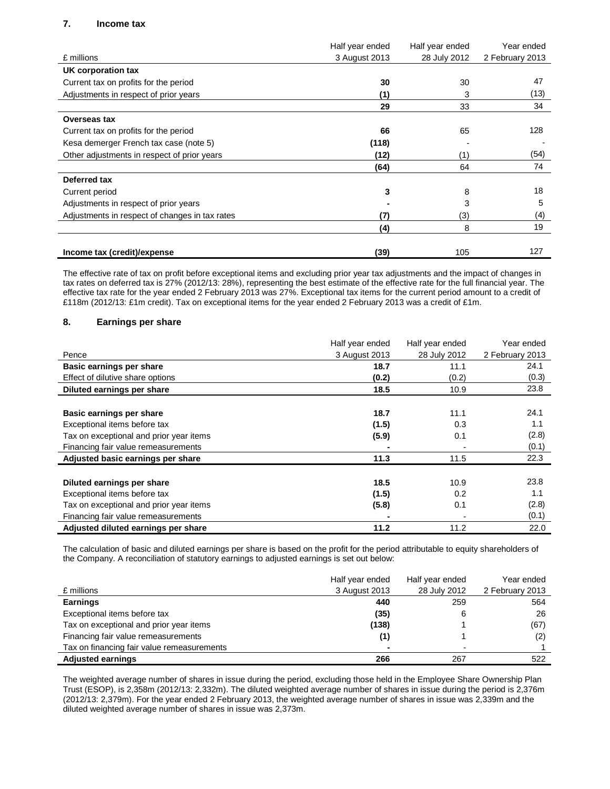#### **7. Income tax**

|                                                | Half year ended | Half year ended | Year ended      |
|------------------------------------------------|-----------------|-----------------|-----------------|
| £ millions                                     | 3 August 2013   | 28 July 2012    | 2 February 2013 |
| UK corporation tax                             |                 |                 |                 |
| Current tax on profits for the period          | 30              | 30              | 47              |
| Adjustments in respect of prior years          | (1)             | 3               | (13)            |
|                                                | 29              | 33              | 34              |
| Overseas tax                                   |                 |                 |                 |
| Current tax on profits for the period          | 66              | 65              | 128             |
| Kesa demerger French tax case (note 5)         | (118)           |                 |                 |
| Other adjustments in respect of prior years    | (12)            | (1)             | (54)            |
|                                                | (64)            | 64              | 74              |
| Deferred tax                                   |                 |                 |                 |
| Current period                                 | 3               | 8               | 18              |
| Adjustments in respect of prior years          |                 | 3               | 5               |
| Adjustments in respect of changes in tax rates | 7               | (3)             | (4)             |
|                                                | (4)             | 8               | 19              |
| Income tax (credit)/expense                    | (39)            | 105             | 127             |

The effective rate of tax on profit before exceptional items and excluding prior year tax adjustments and the impact of changes in tax rates on deferred tax is 27% (2012/13: 28%), representing the best estimate of the effective rate for the full financial year. The effective tax rate for the year ended 2 February 2013 was 27%. Exceptional tax items for the current period amount to a credit of £118m (2012/13: £1m credit). Tax on exceptional items for the year ended 2 February 2013 was a credit of £1m.

#### **8. Earnings per share**

|                                         | Half year ended | Half year ended | Year ended      |
|-----------------------------------------|-----------------|-----------------|-----------------|
| Pence                                   | 3 August 2013   | 28 July 2012    | 2 February 2013 |
| Basic earnings per share                | 18.7            | 11.1            | 24.1            |
| Effect of dilutive share options        | (0.2)           | (0.2)           | (0.3)           |
| Diluted earnings per share              | 18.5            | 10.9            | 23.8            |
|                                         |                 |                 |                 |
| Basic earnings per share                | 18.7            | 11.1            | 24.1            |
| Exceptional items before tax            | (1.5)           | 0.3             | 1.1             |
| Tax on exceptional and prior year items | (5.9)           | 0.1             | (2.8)           |
| Financing fair value remeasurements     |                 |                 | (0.1)           |
| Adjusted basic earnings per share       | 11.3            | 11.5            | 22.3            |
|                                         |                 |                 |                 |
| Diluted earnings per share              | 18.5            | 10.9            | 23.8            |
| Exceptional items before tax            | (1.5)           | 0.2             | 1.1             |
| Tax on exceptional and prior year items | (5.8)           | 0.1             | (2.8)           |
| Financing fair value remeasurements     |                 |                 | (0.1)           |
| Adjusted diluted earnings per share     | 11.2            | 11.2            | 22.0            |

The calculation of basic and diluted earnings per share is based on the profit for the period attributable to equity shareholders of the Company. A reconciliation of statutory earnings to adjusted earnings is set out below:

|                                            | Half year ended | Half year ended | Year ended      |
|--------------------------------------------|-----------------|-----------------|-----------------|
| £ millions                                 | 3 August 2013   | 28 July 2012    | 2 February 2013 |
| <b>Earnings</b>                            | 440             | 259             | 564             |
| Exceptional items before tax               | (35)            | 6               | 26              |
| Tax on exceptional and prior year items    | (138)           |                 | (67)            |
| Financing fair value remeasurements        | (1)             |                 | (2)             |
| Tax on financing fair value remeasurements |                 |                 |                 |
| <b>Adjusted earnings</b>                   | 266             | 267             | 522             |

The weighted average number of shares in issue during the period, excluding those held in the Employee Share Ownership Plan Trust (ESOP), is 2,358m (2012/13: 2,332m). The diluted weighted average number of shares in issue during the period is 2,376m (2012/13: 2,379m). For the year ended 2 February 2013, the weighted average number of shares in issue was 2,339m and the diluted weighted average number of shares in issue was 2,373m.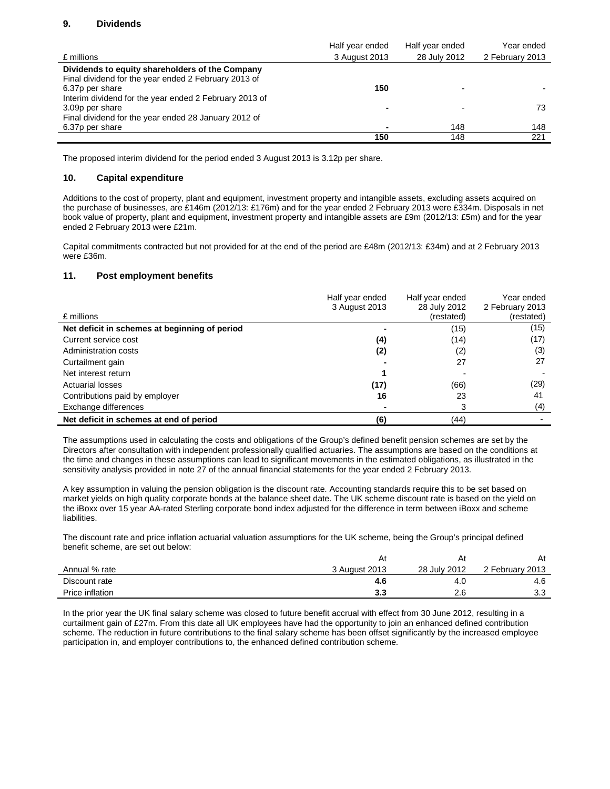#### **9. Dividends**

|                                                        | Half year ended | Half year ended          | Year ended      |
|--------------------------------------------------------|-----------------|--------------------------|-----------------|
| £ millions                                             | 3 August 2013   | 28 July 2012             | 2 February 2013 |
| Dividends to equity shareholders of the Company        |                 |                          |                 |
| Final dividend for the year ended 2 February 2013 of   |                 |                          |                 |
| 6.37p per share                                        | 150             | $\overline{\phantom{0}}$ |                 |
| Interim dividend for the year ended 2 February 2013 of |                 |                          |                 |
| 3.09p per share                                        |                 | $\overline{\phantom{0}}$ | 73              |
| Final dividend for the year ended 28 January 2012 of   |                 |                          |                 |
| 6.37p per share                                        |                 | 148                      | 148             |
|                                                        | 150             | 148                      | 221             |

The proposed interim dividend for the period ended 3 August 2013 is 3.12p per share.

#### **10. Capital expenditure**

Additions to the cost of property, plant and equipment, investment property and intangible assets, excluding assets acquired on the purchase of businesses, are £146m (2012/13: £176m) and for the year ended 2 February 2013 were £334m. Disposals in net book value of property, plant and equipment, investment property and intangible assets are £9m (2012/13: £5m) and for the year ended 2 February 2013 were £21m.

Capital commitments contracted but not provided for at the end of the period are £48m (2012/13: £34m) and at 2 February 2013 were £36m.

#### **11. Post employment benefits**

|                                               | Half year ended<br>3 August 2013 | Half year ended<br>28 July 2012 | Year ended<br>2 February 2013 |
|-----------------------------------------------|----------------------------------|---------------------------------|-------------------------------|
| £ millions                                    |                                  | (restated)                      | (restated)                    |
| Net deficit in schemes at beginning of period |                                  | (15)                            | (15)                          |
| Current service cost                          | (4)                              | (14)                            | (17)                          |
| Administration costs                          | (2)                              | (2)                             | (3)                           |
| Curtailment gain                              |                                  | 27                              | 27                            |
| Net interest return                           |                                  |                                 |                               |
| Actuarial losses                              | (17)                             | (66)                            | (29)                          |
| Contributions paid by employer                | 16                               | 23                              | 41                            |
| Exchange differences                          |                                  |                                 | (4)                           |
| Net deficit in schemes at end of period       | (6)                              | (44)                            |                               |

The assumptions used in calculating the costs and obligations of the Group's defined benefit pension schemes are set by the Directors after consultation with independent professionally qualified actuaries. The assumptions are based on the conditions at the time and changes in these assumptions can lead to significant movements in the estimated obligations, as illustrated in the sensitivity analysis provided in note 27 of the annual financial statements for the year ended 2 February 2013.

A key assumption in valuing the pension obligation is the discount rate. Accounting standards require this to be set based on market yields on high quality corporate bonds at the balance sheet date. The UK scheme discount rate is based on the yield on the iBoxx over 15 year AA-rated Sterling corporate bond index adjusted for the difference in term between iBoxx and scheme liabilities.

The discount rate and price inflation actuarial valuation assumptions for the UK scheme, being the Group's principal defined benefit scheme, are set out below:

|                 | Αt            | Αt           | At              |
|-----------------|---------------|--------------|-----------------|
| Annual % rate   | 3 August 2013 | 28 July 2012 | 2 February 2013 |
| Discount rate   | 4.6           | 4.0          | 4.6             |
| Price inflation | 3.3           | 2.6          | າ າ<br>ა.ა      |

In the prior year the UK final salary scheme was closed to future benefit accrual with effect from 30 June 2012, resulting in a curtailment gain of £27m. From this date all UK employees have had the opportunity to join an enhanced defined contribution scheme. The reduction in future contributions to the final salary scheme has been offset significantly by the increased employee participation in, and employer contributions to, the enhanced defined contribution scheme.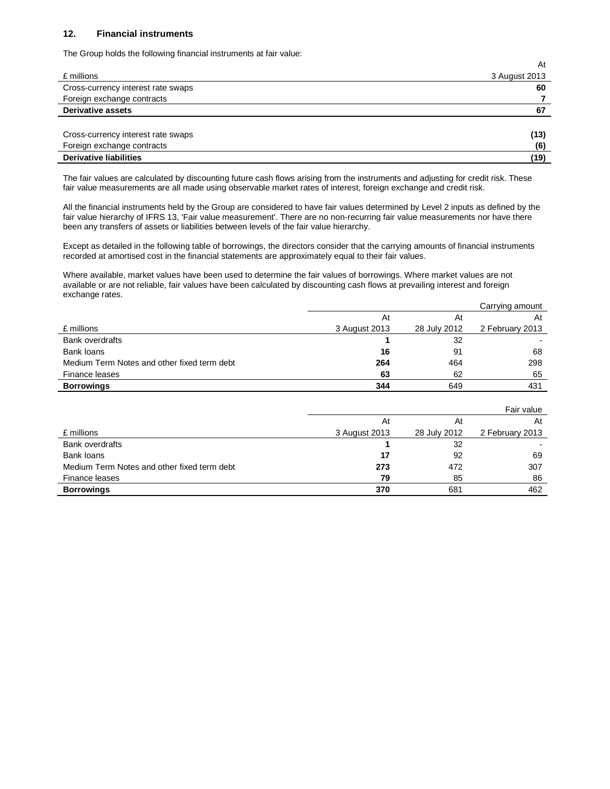#### **12. Financial instruments**

l,

The Group holds the following financial instruments at fair value:

|                                    | At            |
|------------------------------------|---------------|
| £ millions                         | 3 August 2013 |
| Cross-currency interest rate swaps | 60            |
| Foreign exchange contracts         |               |
| Derivative assets                  | 67            |
|                                    |               |
| Cross-currency interest rate swaps | (13)          |

| $\overline{\phantom{0}}$<br><u>там</u> .<br>$\sim$<br>п<br>ю<br>スしいこ | (6)      |
|----------------------------------------------------------------------|----------|
| <b>Derivative</b><br>шиез                                            | <br>-191 |
|                                                                      |          |

The fair values are calculated by discounting future cash flows arising from the instruments and adjusting for credit risk. These fair value measurements are all made using observable market rates of interest, foreign exchange and credit risk.

All the financial instruments held by the Group are considered to have fair values determined by Level 2 inputs as defined by the fair value hierarchy of IFRS 13, 'Fair value measurement'. There are no non-recurring fair value measurements nor have there been any transfers of assets or liabilities between levels of the fair value hierarchy.

Except as detailed in the following table of borrowings, the directors consider that the carrying amounts of financial instruments recorded at amortised cost in the financial statements are approximately equal to their fair values.

Where available, market values have been used to determine the fair values of borrowings. Where market values are not available or are not reliable, fair values have been calculated by discounting cash flows at prevailing interest and foreign exchange rates.

|                                             |               |              | Carrying amount |
|---------------------------------------------|---------------|--------------|-----------------|
|                                             | At            | At           | At              |
| £ millions                                  | 3 August 2013 | 28 July 2012 | 2 February 2013 |
| <b>Bank overdrafts</b>                      |               | 32           |                 |
| Bank loans                                  | 16            | 91           | 68              |
| Medium Term Notes and other fixed term debt | 264           | 464          | 298             |
| Finance leases                              | 63            | 62           | 65              |
| <b>Borrowings</b>                           | 344           | 649          | 431             |

|                                             |               |              | Fair value      |
|---------------------------------------------|---------------|--------------|-----------------|
|                                             | At            | At           | At              |
| £ millions                                  | 3 August 2013 | 28 July 2012 | 2 February 2013 |
| <b>Bank overdrafts</b>                      |               | 32           |                 |
| Bank loans                                  | 17            | 92           | 69              |
| Medium Term Notes and other fixed term debt | 273           | 472          | 307             |
| <b>Finance leases</b>                       | 79            | 85           | 86              |
| <b>Borrowings</b>                           | 370           | 681          | 462             |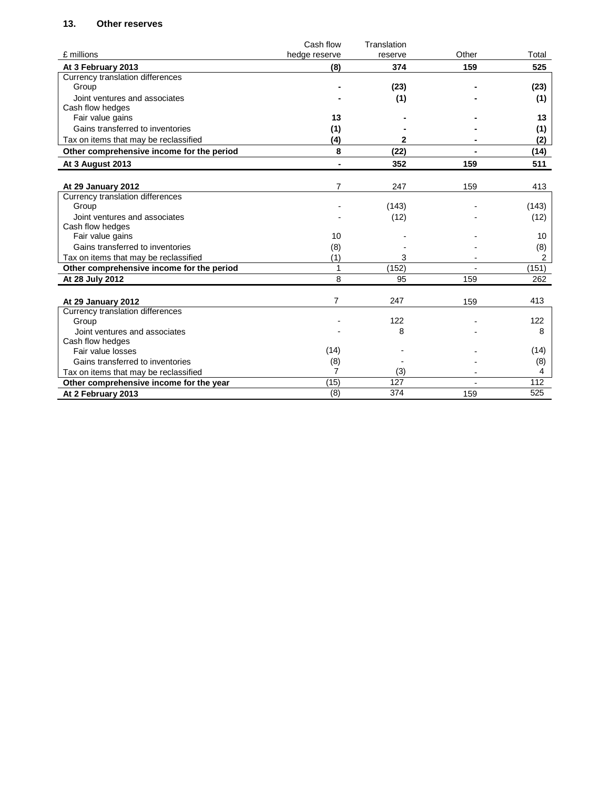#### **13. Other reserves**

|                                           | Cash flow     | Translation |       |       |
|-------------------------------------------|---------------|-------------|-------|-------|
| £ millions                                | hedge reserve | reserve     | Other | Total |
| At 3 February 2013                        | (8)           | 374         | 159   | 525   |
| Currency translation differences          |               |             |       |       |
| Group                                     |               | (23)        |       | (23)  |
| Joint ventures and associates             |               | (1)         |       | (1)   |
| Cash flow hedges                          |               |             |       |       |
| Fair value gains                          | 13            |             |       | 13    |
| Gains transferred to inventories          | (1)           |             |       | (1)   |
| Tax on items that may be reclassified     | (4)           | 2           |       | (2)   |
| Other comprehensive income for the period | 8             | (22)        |       | (14)  |
| At 3 August 2013                          | ×,            | 352         | 159   | 511   |
| At 29 January 2012                        | 7             | 247         | 159   | 413   |
| Currency translation differences          |               |             |       |       |
| Group                                     |               | (143)       |       | (143) |
| Joint ventures and associates             |               | (12)        |       | (12)  |
| Cash flow hedges                          |               |             |       |       |
| Fair value gains                          | 10            |             |       | 10    |
| Gains transferred to inventories          | (8)           |             |       | (8)   |
| Tax on items that may be reclassified     | (1)           | 3           |       | 2     |
| Other comprehensive income for the period | 1             | (152)       |       | (151) |
| At 28 July 2012                           | 8             | 95          | 159   | 262   |
| At 29 January 2012                        | 7             | 247         | 159   | 413   |
| Currency translation differences          |               |             |       |       |
| Group                                     |               | 122         |       | 122   |
| Joint ventures and associates             |               | 8           |       | 8     |
| Cash flow hedges                          |               |             |       |       |
| Fair value losses                         | (14)          |             |       | (14)  |
| Gains transferred to inventories          | (8)           |             |       | (8)   |
| Tax on items that may be reclassified     | 7             | (3)         |       | 4     |
| Other comprehensive income for the year   | (15)          | 127         |       | 112   |
| At 2 February 2013                        | (8)           | 374         | 159   | 525   |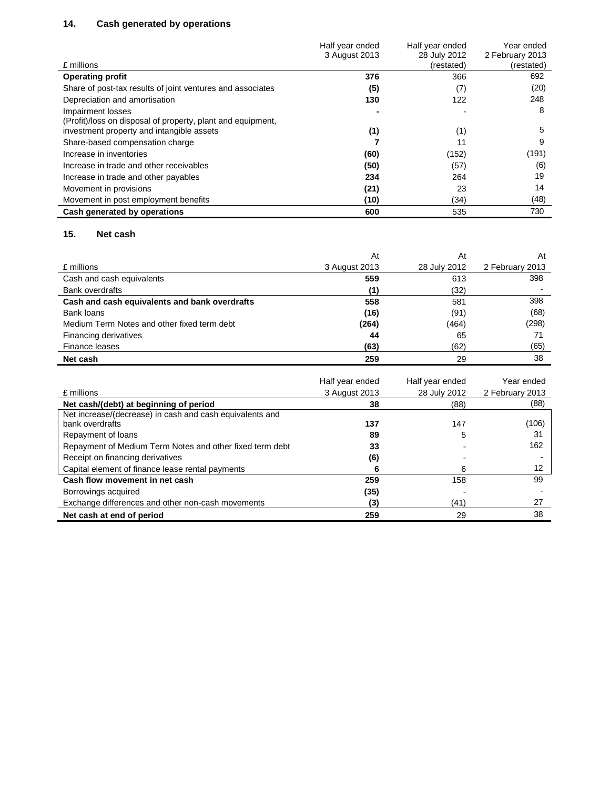# **14. Cash generated by operations**

| £ millions                                                                                               | Half year ended<br>3 August 2013 | Half year ended<br>28 July 2012<br>(restated) | Year ended<br>2 February 2013<br>(restated) |
|----------------------------------------------------------------------------------------------------------|----------------------------------|-----------------------------------------------|---------------------------------------------|
| <b>Operating profit</b>                                                                                  | 376                              | 366                                           | 692                                         |
| Share of post-tax results of joint ventures and associates                                               | (5)                              | (7)                                           | (20)                                        |
| Depreciation and amortisation                                                                            | 130                              | 122                                           | 248                                         |
| Impairment losses                                                                                        |                                  |                                               | 8                                           |
| (Profit)/loss on disposal of property, plant and equipment,<br>investment property and intangible assets | (1)                              | (1)                                           | 5                                           |
| Share-based compensation charge                                                                          |                                  | 11                                            | 9                                           |
| Increase in inventories                                                                                  | (60)                             | (152)                                         | (191)                                       |
| Increase in trade and other receivables                                                                  | (50)                             | (57)                                          | (6)                                         |
| Increase in trade and other payables                                                                     | 234                              | 264                                           | 19                                          |
| Movement in provisions                                                                                   | (21)                             | 23                                            | 14                                          |
| Movement in post employment benefits                                                                     | (10)                             | (34)                                          | (48)                                        |
| Cash generated by operations                                                                             | 600                              | 535                                           | 730                                         |

#### **15. Net cash**

|                                               | At            | At           | At              |
|-----------------------------------------------|---------------|--------------|-----------------|
| £ millions                                    | 3 August 2013 | 28 July 2012 | 2 February 2013 |
| Cash and cash equivalents                     | 559           | 613          | 398             |
| <b>Bank overdrafts</b>                        | (1)           | (32)         |                 |
| Cash and cash equivalents and bank overdrafts | 558           | 581          | 398             |
| Bank loans                                    | (16)          | (91)         | (68)            |
| Medium Term Notes and other fixed term debt   | (264)         | (464)        | (298)           |
| Financing derivatives                         | 44            | 65           | 71              |
| Finance leases                                | (63)          | (62)         | (65)            |
| Net cash                                      | 259           | 29           | 38              |

|                                                          | Half year ended | Half year ended | Year ended      |
|----------------------------------------------------------|-----------------|-----------------|-----------------|
| £ millions                                               | 3 August 2013   | 28 July 2012    | 2 February 2013 |
| Net cash/(debt) at beginning of period                   | 38              | (88)            | (88)            |
| Net increase/(decrease) in cash and cash equivalents and |                 |                 |                 |
| bank overdrafts                                          | 137             | 147             | (106)           |
| Repayment of loans                                       | 89              | 5               | 31              |
| Repayment of Medium Term Notes and other fixed term debt | 33              |                 | 162             |
| Receipt on financing derivatives                         | (6)             |                 |                 |
| Capital element of finance lease rental payments         | 6               | 6               |                 |
| Cash flow movement in net cash                           | 259             | 158             | 99              |
| Borrowings acquired                                      | (35)            |                 |                 |
| Exchange differences and other non-cash movements        | (3)             | (41)            | 27              |
| Net cash at end of period                                | 259             | 29              | 38              |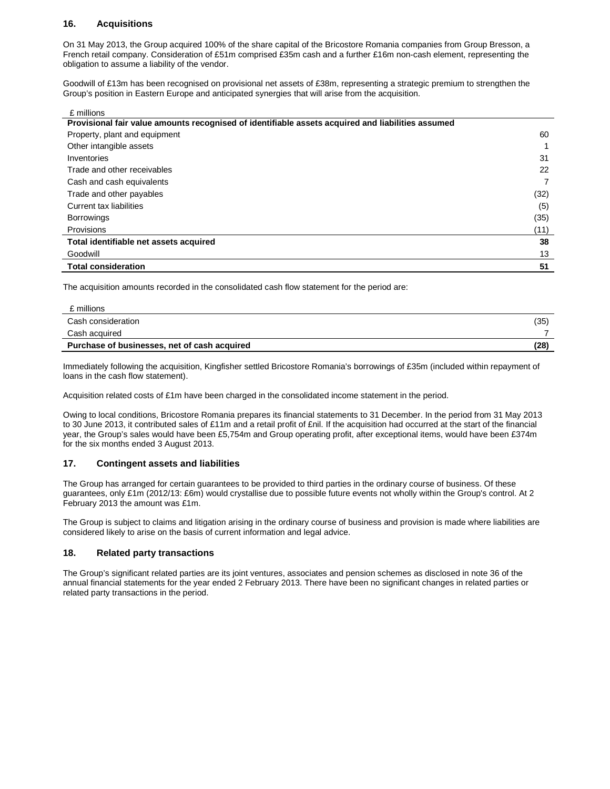#### **16. Acquisitions**

On 31 May 2013, the Group acquired 100% of the share capital of the Bricostore Romania companies from Group Bresson, a French retail company. Consideration of £51m comprised £35m cash and a further £16m non-cash element, representing the obligation to assume a liability of the vendor.

Goodwill of £13m has been recognised on provisional net assets of £38m, representing a strategic premium to strengthen the Group's position in Eastern Europe and anticipated synergies that will arise from the acquisition.

| £ millions                                                                                        |      |
|---------------------------------------------------------------------------------------------------|------|
| Provisional fair value amounts recognised of identifiable assets acquired and liabilities assumed |      |
| Property, plant and equipment                                                                     | 60   |
| Other intangible assets                                                                           |      |
| Inventories                                                                                       | 31   |
| Trade and other receivables                                                                       | 22   |
| Cash and cash equivalents                                                                         |      |
| Trade and other payables                                                                          | (32) |
| Current tax liabilities                                                                           | (5)  |
| <b>Borrowings</b>                                                                                 | (35) |
| Provisions                                                                                        | (11) |
| Total identifiable net assets acquired                                                            | 38   |
| Goodwill                                                                                          | 13   |
| <b>Total consideration</b>                                                                        | 51   |

The acquisition amounts recorded in the consolidated cash flow statement for the period are:

| £ millions                                   |      |
|----------------------------------------------|------|
| Cash consideration                           | (35) |
| Cash acquired                                |      |
| Purchase of businesses, net of cash acquired | (28) |
|                                              |      |

Immediately following the acquisition, Kingfisher settled Bricostore Romania's borrowings of £35m (included within repayment of loans in the cash flow statement).

Acquisition related costs of £1m have been charged in the consolidated income statement in the period.

Owing to local conditions, Bricostore Romania prepares its financial statements to 31 December. In the period from 31 May 2013 to 30 June 2013, it contributed sales of £11m and a retail profit of £nil. If the acquisition had occurred at the start of the financial year, the Group's sales would have been £5,754m and Group operating profit, after exceptional items, would have been £374m for the six months ended 3 August 2013.

#### **17. Contingent assets and liabilities**

The Group has arranged for certain guarantees to be provided to third parties in the ordinary course of business. Of these guarantees, only £1m (2012/13: £6m) would crystallise due to possible future events not wholly within the Group's control. At 2 February 2013 the amount was £1m.

The Group is subject to claims and litigation arising in the ordinary course of business and provision is made where liabilities are considered likely to arise on the basis of current information and legal advice.

#### **18. Related party transactions**

The Group's significant related parties are its joint ventures, associates and pension schemes as disclosed in note 36 of the annual financial statements for the year ended 2 February 2013. There have been no significant changes in related parties or related party transactions in the period.